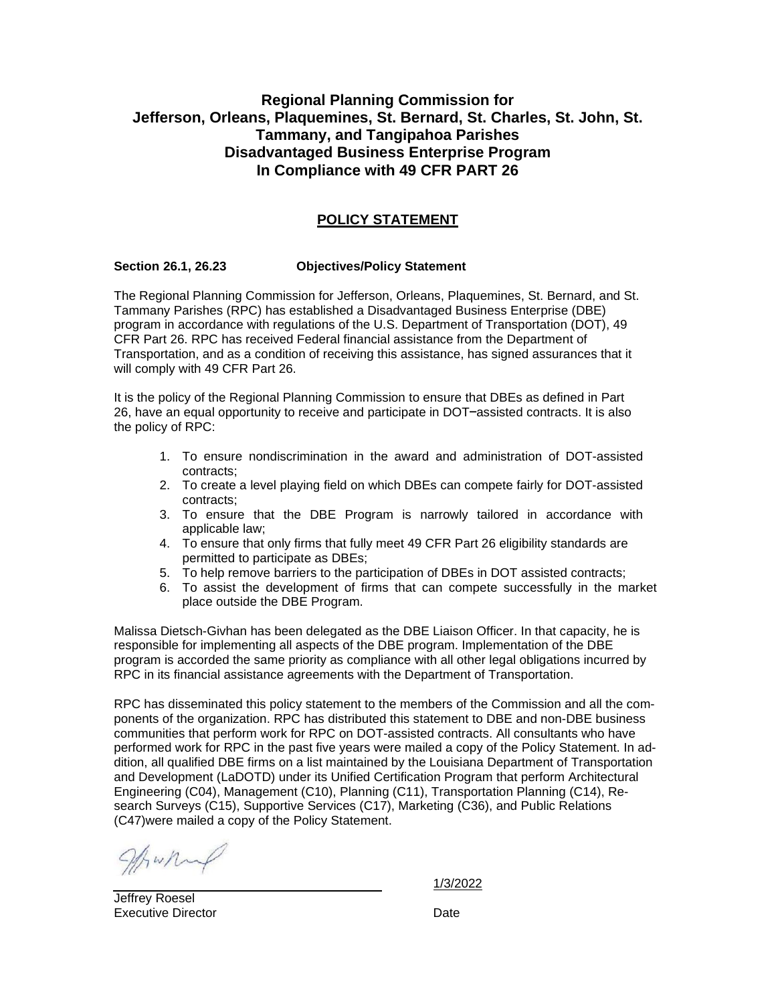# **Regional Planning Commission for Jefferson, Orleans, Plaquemines, St. Bernard, St. Charles, St. John, St. Tammany, and Tangipahoa Parishes Disadvantaged Business Enterprise Program In Compliance with 49 CFR PART 26**

# **POLICY STATEMENT**

### **Section 26.1, 26.23 Objectives/Policy Statement**

The Regional Planning Commission for Jefferson, Orleans, Plaquemines, St. Bernard, and St. Tammany Parishes (RPC) has established a Disadvantaged Business Enterprise (DBE) program in accordance with regulations of the U.S. Department of Transportation (DOT), 49 CFR Part 26. RPC has received Federal financial assistance from the Department of Transportation, and as a condition of receiving this assistance, has signed assurances that it will comply with 49 CFR Part 26.

It is the policy of the Regional Planning Commission to ensure that DBEs as defined in Part 26, have an equal opportunity to receive and participate in DOT–assisted contracts. It is also the policy of RPC:

- 1. To ensure nondiscrimination in the award and administration of DOT-assisted contracts;
- 2. To create a level playing field on which DBEs can compete fairly for DOT-assisted contracts;
- 3. To ensure that the DBE Program is narrowly tailored in accordance with applicable law;
- 4. To ensure that only firms that fully meet 49 CFR Part 26 eligibility standards are permitted to participate as DBEs;
- 5. To help remove barriers to the participation of DBEs in DOT assisted contracts;
- 6. To assist the development of firms that can compete successfully in the market place outside the DBE Program.

Malissa Dietsch-Givhan has been delegated as the DBE Liaison Officer. In that capacity, he is responsible for implementing all aspects of the DBE program. Implementation of the DBE program is accorded the same priority as compliance with all other legal obligations incurred by RPC in its financial assistance agreements with the Department of Transportation.

RPC has disseminated this policy statement to the members of the Commission and all the components of the organization. RPC has distributed this statement to DBE and non-DBE business communities that perform work for RPC on DOT-assisted contracts. All consultants who have performed work for RPC in the past five years were mailed a copy of the Policy Statement. In addition, all qualified DBE firms on a list maintained by the Louisiana Department of Transportation and Development (LaDOTD) under its Unified Certification Program that perform Architectural Engineering (C04), Management (C10), Planning (C11), Transportation Planning (C14), Research Surveys (C15), Supportive Services (C17), Marketing (C36), and Public Relations (C47)were mailed a copy of the Policy Statement.

What

1/3/2022

Jeffrey Roesel Executive Director **Date** Date **Date**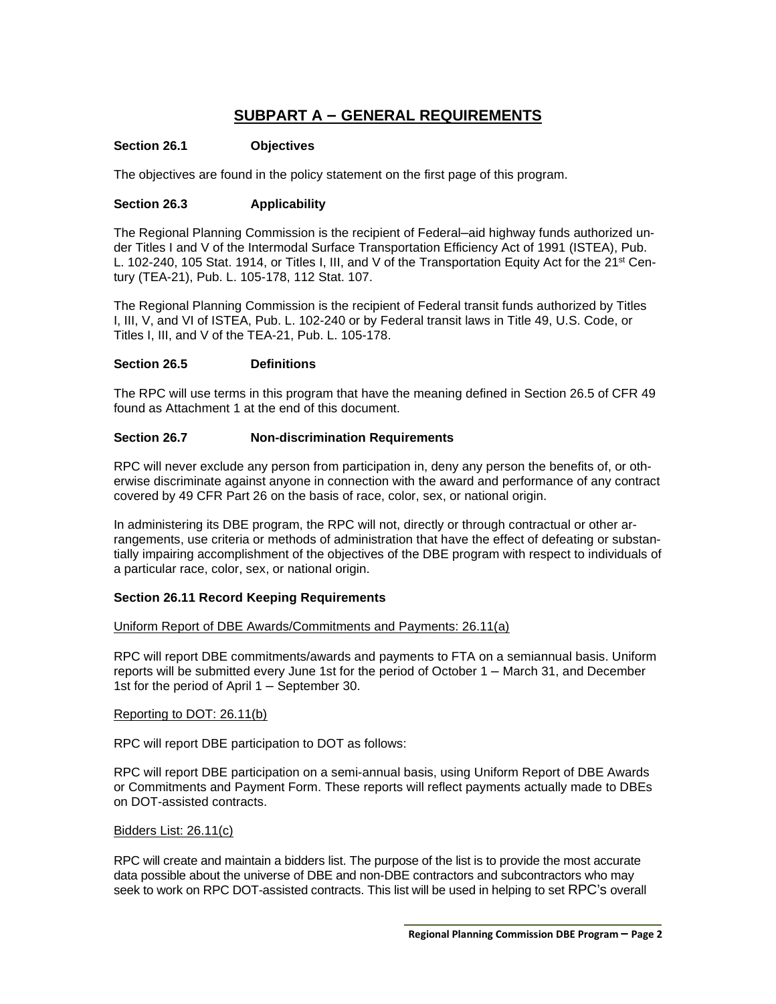# **SUBPART A – GENERAL REQUIREMENTS**

### **Section 26.1 Objectives**

The objectives are found in the policy statement on the first page of this program.

### **Section 26.3 Applicability**

The Regional Planning Commission is the recipient of Federal–aid highway funds authorized under Titles I and V of the Intermodal Surface Transportation Efficiency Act of 1991 (ISTEA), Pub. L. 102-240, 105 Stat. 1914, or Titles I, III, and V of the Transportation Equity Act for the 21<sup>st</sup> Century (TEA-21), Pub. L. 105-178, 112 Stat. 107.

The Regional Planning Commission is the recipient of Federal transit funds authorized by Titles I, III, V, and VI of ISTEA, Pub. L. 102-240 or by Federal transit laws in Title 49, U.S. Code, or Titles I, III, and V of the TEA-21, Pub. L. 105-178.

### **Section 26.5 Definitions**

The RPC will use terms in this program that have the meaning defined in Section 26.5 of CFR 49 found as Attachment 1 at the end of this document.

### **Section 26.7 Non-discrimination Requirements**

RPC will never exclude any person from participation in, deny any person the benefits of, or otherwise discriminate against anyone in connection with the award and performance of any contract covered by 49 CFR Part 26 on the basis of race, color, sex, or national origin.

In administering its DBE program, the RPC will not, directly or through contractual or other arrangements, use criteria or methods of administration that have the effect of defeating or substantially impairing accomplishment of the objectives of the DBE program with respect to individuals of a particular race, color, sex, or national origin.

## **Section 26.11 Record Keeping Requirements**

### Uniform Report of DBE Awards/Commitments and Payments: 26.11(a)

RPC will report DBE commitments/awards and payments to FTA on a semiannual basis. Uniform reports will be submitted every June 1st for the period of October 1 – March 31, and December 1st for the period of April 1 – September 30.

### Reporting to DOT: 26.11(b)

RPC will report DBE participation to DOT as follows:

RPC will report DBE participation on a semi-annual basis, using Uniform Report of DBE Awards or Commitments and Payment Form. These reports will reflect payments actually made to DBEs on DOT-assisted contracts.

### Bidders List: 26.11(c)

RPC will create and maintain a bidders list. The purpose of the list is to provide the most accurate data possible about the universe of DBE and non-DBE contractors and subcontractors who may seek to work on RPC DOT-assisted contracts. This list will be used in helping to set RPC's overall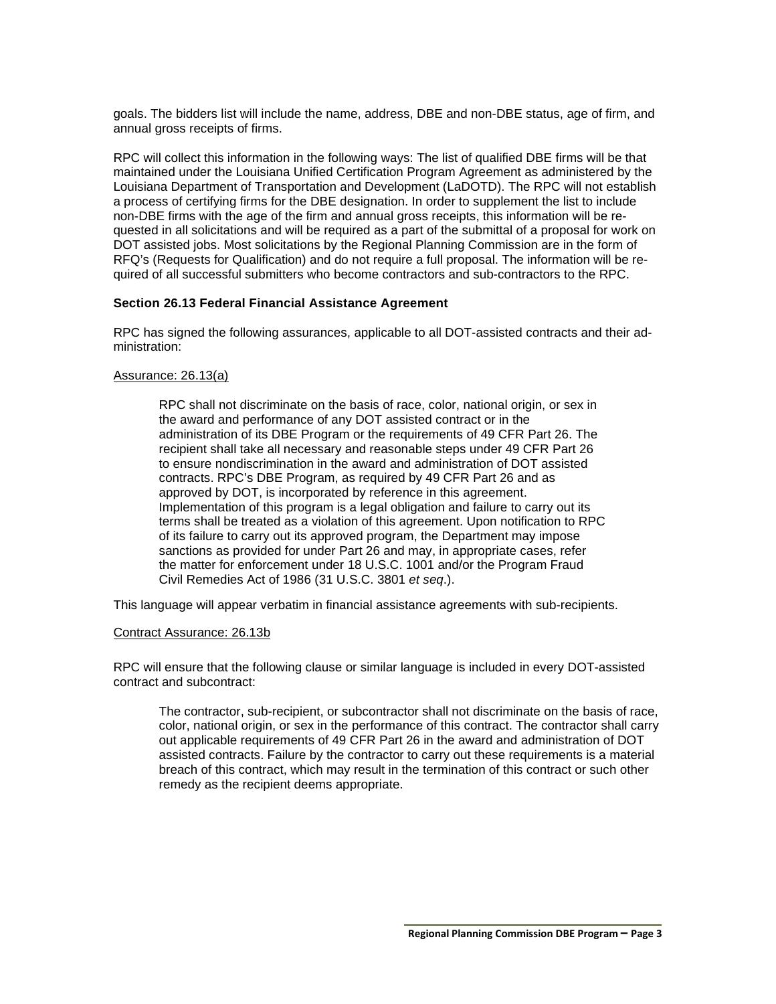goals. The bidders list will include the name, address, DBE and non-DBE status, age of firm, and annual gross receipts of firms.

RPC will collect this information in the following ways: The list of qualified DBE firms will be that maintained under the Louisiana Unified Certification Program Agreement as administered by the Louisiana Department of Transportation and Development (LaDOTD). The RPC will not establish a process of certifying firms for the DBE designation. In order to supplement the list to include non-DBE firms with the age of the firm and annual gross receipts, this information will be requested in all solicitations and will be required as a part of the submittal of a proposal for work on DOT assisted jobs. Most solicitations by the Regional Planning Commission are in the form of RFQ's (Requests for Qualification) and do not require a full proposal. The information will be required of all successful submitters who become contractors and sub-contractors to the RPC.

### **Section 26.13 Federal Financial Assistance Agreement**

RPC has signed the following assurances, applicable to all DOT-assisted contracts and their administration:

### Assurance: 26.13(a)

RPC shall not discriminate on the basis of race, color, national origin, or sex in the award and performance of any DOT assisted contract or in the administration of its DBE Program or the requirements of 49 CFR Part 26. The recipient shall take all necessary and reasonable steps under 49 CFR Part 26 to ensure nondiscrimination in the award and administration of DOT assisted contracts. RPC's DBE Program, as required by 49 CFR Part 26 and as approved by DOT, is incorporated by reference in this agreement. Implementation of this program is a legal obligation and failure to carry out its terms shall be treated as a violation of this agreement. Upon notification to RPC of its failure to carry out its approved program, the Department may impose sanctions as provided for under Part 26 and may, in appropriate cases, refer the matter for enforcement under 18 U.S.C. 1001 and/or the Program Fraud Civil Remedies Act of 1986 (31 U.S.C. 3801 *et seq*.).

This language will appear verbatim in financial assistance agreements with sub-recipients.

#### Contract Assurance: 26.13b

RPC will ensure that the following clause or similar language is included in every DOT-assisted contract and subcontract:

The contractor, sub-recipient, or subcontractor shall not discriminate on the basis of race, color, national origin, or sex in the performance of this contract. The contractor shall carry out applicable requirements of 49 CFR Part 26 in the award and administration of DOT assisted contracts. Failure by the contractor to carry out these requirements is a material breach of this contract, which may result in the termination of this contract or such other remedy as the recipient deems appropriate.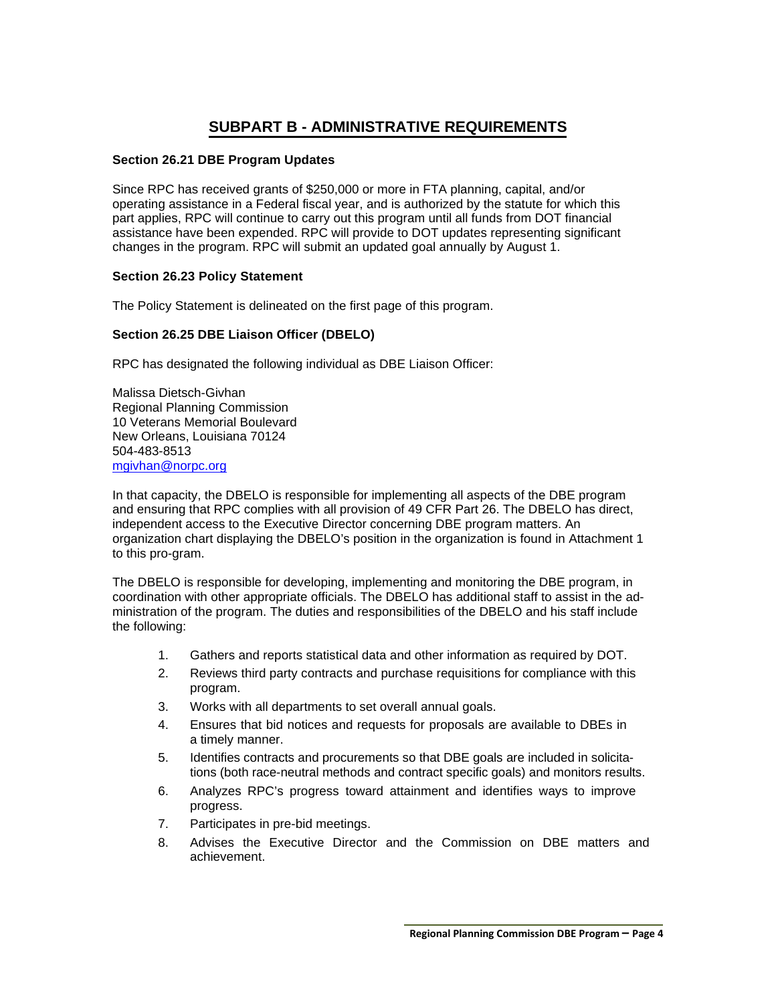# **SUBPART B - ADMINISTRATIVE REQUIREMENTS**

### **Section 26.21 DBE Program Updates**

Since RPC has received grants of \$250,000 or more in FTA planning, capital, and/or operating assistance in a Federal fiscal year, and is authorized by the statute for which this part applies, RPC will continue to carry out this program until all funds from DOT financial assistance have been expended. RPC will provide to DOT updates representing significant changes in the program. RPC will submit an updated goal annually by August 1.

### **Section 26.23 Policy Statement**

The Policy Statement is delineated on the first page of this program.

## **Section 26.25 DBE Liaison Officer (DBELO)**

RPC has designated the following individual as DBE Liaison Officer:

Malissa Dietsch-Givhan Regional Planning Commission 10 Veterans Memorial Boulevard New Orleans, Louisiana 70124 504-483-8513 [mgivhan@norpc.org](mailto:jsappington@norpc.org)

In that capacity, the DBELO is responsible for implementing all aspects of the DBE program and ensuring that RPC complies with all provision of 49 CFR Part 26. The DBELO has direct, independent access to the Executive Director concerning DBE program matters. An organization chart displaying the DBELO's position in the organization is found in Attachment 1 to this pro-gram.

The DBELO is responsible for developing, implementing and monitoring the DBE program, in coordination with other appropriate officials. The DBELO has additional staff to assist in the administration of the program. The duties and responsibilities of the DBELO and his staff include the following:

- 1. Gathers and reports statistical data and other information as required by DOT.
- 2. Reviews third party contracts and purchase requisitions for compliance with this program.
- 3. Works with all departments to set overall annual goals.
- 4. Ensures that bid notices and requests for proposals are available to DBEs in a timely manner.
- 5. Identifies contracts and procurements so that DBE goals are included in solicitations (both race-neutral methods and contract specific goals) and monitors results.
- 6. Analyzes RPC's progress toward attainment and identifies ways to improve progress.
- 7. Participates in pre-bid meetings.
- 8. Advises the Executive Director and the Commission on DBE matters and achievement.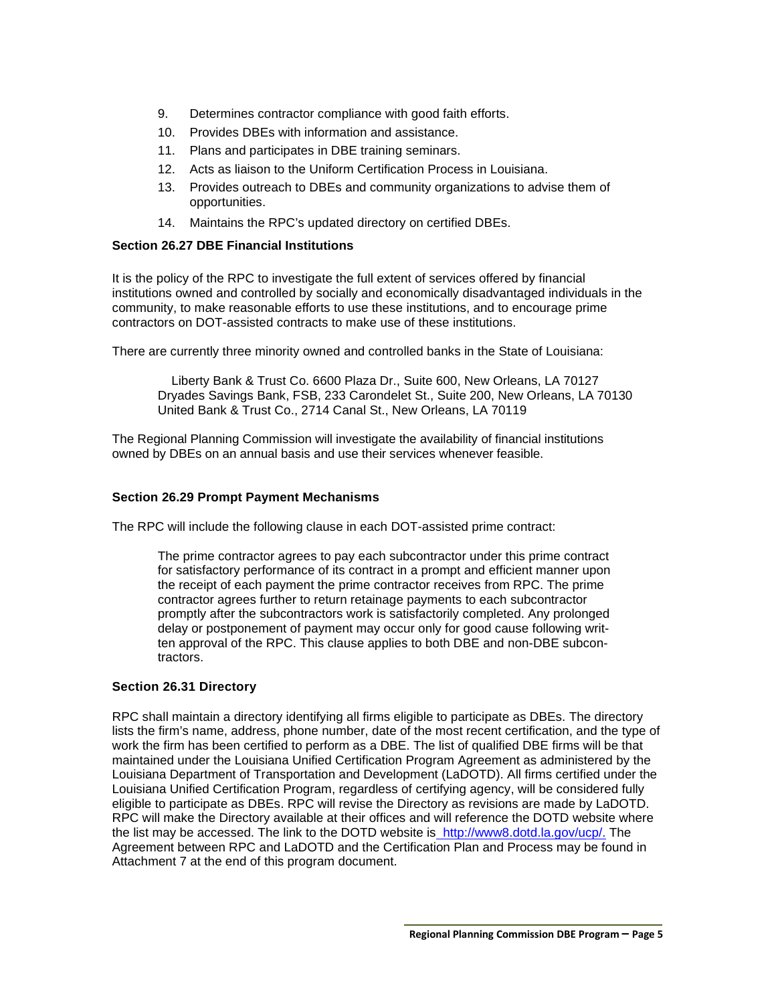- 9. Determines contractor compliance with good faith efforts.
- 10. Provides DBEs with information and assistance.
- 11. Plans and participates in DBE training seminars.
- 12. Acts as liaison to the Uniform Certification Process in Louisiana.
- 13. Provides outreach to DBEs and community organizations to advise them of opportunities.
- 14. Maintains the RPC's updated directory on certified DBEs.

### **Section 26.27 DBE Financial Institutions**

It is the policy of the RPC to investigate the full extent of services offered by financial institutions owned and controlled by socially and economically disadvantaged individuals in the community, to make reasonable efforts to use these institutions, and to encourage prime contractors on DOT-assisted contracts to make use of these institutions.

There are currently three minority owned and controlled banks in the State of Louisiana:

Liberty Bank & Trust Co. 6600 Plaza Dr., Suite 600, New Orleans, LA 70127 Dryades Savings Bank, FSB, 233 Carondelet St., Suite 200, New Orleans, LA 70130 United Bank & Trust Co., 2714 Canal St., New Orleans, LA 70119

The Regional Planning Commission will investigate the availability of financial institutions owned by DBEs on an annual basis and use their services whenever feasible.

### **Section 26.29 Prompt Payment Mechanisms**

The RPC will include the following clause in each DOT-assisted prime contract:

The prime contractor agrees to pay each subcontractor under this prime contract for satisfactory performance of its contract in a prompt and efficient manner upon the receipt of each payment the prime contractor receives from RPC. The prime contractor agrees further to return retainage payments to each subcontractor promptly after the subcontractors work is satisfactorily completed. Any prolonged delay or postponement of payment may occur only for good cause following written approval of the RPC. This clause applies to both DBE and non-DBE subcontractors.

## **Section 26.31 Directory**

RPC shall maintain a directory identifying all firms eligible to participate as DBEs. The directory lists the firm's name, address, phone number, date of the most recent certification, and the type of work the firm has been certified to perform as a DBE. The list of qualified DBE firms will be that maintained under the Louisiana Unified Certification Program Agreement as administered by the Louisiana Department of Transportation and Development (LaDOTD). All firms certified under the Louisiana Unified Certification Program, regardless of certifying agency, will be considered fully eligible to participate as DBEs. RPC will revise the Directory as revisions are made by LaDOTD. RPC will make the Directory available at their offices and will reference the DOTD website where the list may be accessed. The link to the DOTD website is [http://www8.dotd.la.gov/ucp/.](http://the/) The Agreement between RPC and LaDOTD and the Certification Plan and Process may be found in Attachment 7 at the end of this program document.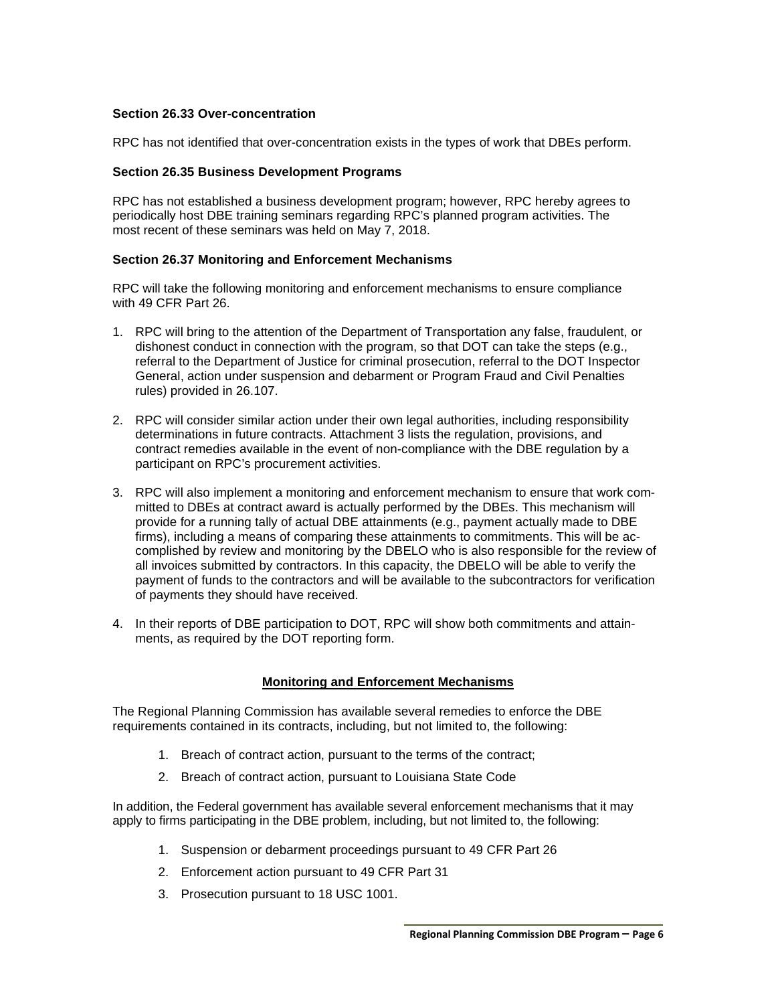### **Section 26.33 Over-concentration**

RPC has not identified that over-concentration exists in the types of work that DBEs perform.

### **Section 26.35 Business Development Programs**

RPC has not established a business development program; however, RPC hereby agrees to periodically host DBE training seminars regarding RPC's planned program activities. The most recent of these seminars was held on May 7, 2018.

## **Section 26.37 Monitoring and Enforcement Mechanisms**

RPC will take the following monitoring and enforcement mechanisms to ensure compliance with 49 CFR Part 26.

- 1. RPC will bring to the attention of the Department of Transportation any false, fraudulent, or dishonest conduct in connection with the program, so that DOT can take the steps (e.g., referral to the Department of Justice for criminal prosecution, referral to the DOT Inspector General, action under suspension and debarment or Program Fraud and Civil Penalties rules) provided in 26.107.
- 2. RPC will consider similar action under their own legal authorities, including responsibility determinations in future contracts. Attachment 3 lists the regulation, provisions, and contract remedies available in the event of non-compliance with the DBE regulation by a participant on RPC's procurement activities.
- 3. RPC will also implement a monitoring and enforcement mechanism to ensure that work committed to DBEs at contract award is actually performed by the DBEs. This mechanism will provide for a running tally of actual DBE attainments (e.g., payment actually made to DBE firms), including a means of comparing these attainments to commitments. This will be accomplished by review and monitoring by the DBELO who is also responsible for the review of all invoices submitted by contractors. In this capacity, the DBELO will be able to verify the payment of funds to the contractors and will be available to the subcontractors for verification of payments they should have received.
- 4. In their reports of DBE participation to DOT, RPC will show both commitments and attainments, as required by the DOT reporting form.

## **Monitoring and Enforcement Mechanisms**

The Regional Planning Commission has available several remedies to enforce the DBE requirements contained in its contracts, including, but not limited to, the following:

- 1. Breach of contract action, pursuant to the terms of the contract;
- 2. Breach of contract action, pursuant to Louisiana State Code

In addition, the Federal government has available several enforcement mechanisms that it may apply to firms participating in the DBE problem, including, but not limited to, the following:

- 1. Suspension or debarment proceedings pursuant to 49 CFR Part 26
- 2. Enforcement action pursuant to 49 CFR Part 31
- 3. Prosecution pursuant to 18 USC 1001.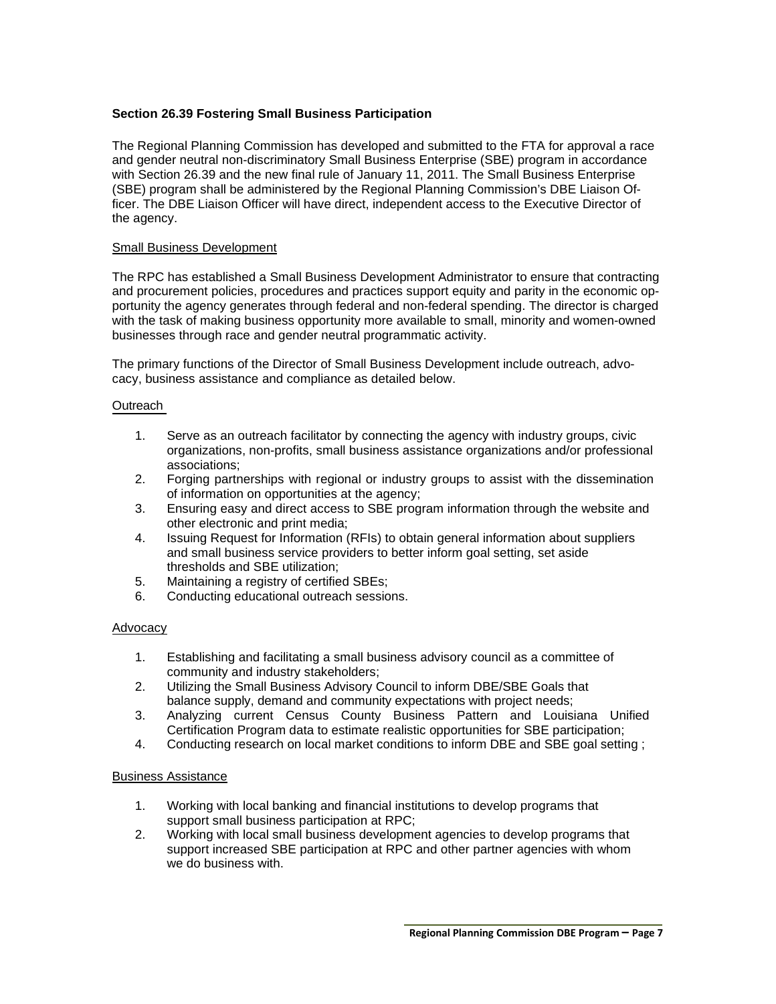### **Section 26.39 Fostering Small Business Participation**

The Regional Planning Commission has developed and submitted to the FTA for approval a race and gender neutral non-discriminatory Small Business Enterprise (SBE) program in accordance with Section 26.39 and the new final rule of January 11, 2011. The Small Business Enterprise (SBE) program shall be administered by the Regional Planning Commission's DBE Liaison Officer. The DBE Liaison Officer will have direct, independent access to the Executive Director of the agency.

### Small Business Development

The RPC has established a Small Business Development Administrator to ensure that contracting and procurement policies, procedures and practices support equity and parity in the economic opportunity the agency generates through federal and non-federal spending. The director is charged with the task of making business opportunity more available to small, minority and women-owned businesses through race and gender neutral programmatic activity.

The primary functions of the Director of Small Business Development include outreach, advocacy, business assistance and compliance as detailed below.

### **Outreach**

- 1. Serve as an outreach facilitator by connecting the agency with industry groups, civic organizations, non-profits, small business assistance organizations and/or professional associations;
- 2. Forging partnerships with regional or industry groups to assist with the dissemination of information on opportunities at the agency;
- 3. Ensuring easy and direct access to SBE program information through the website and other electronic and print media;
- 4. Issuing Request for Information (RFIs) to obtain general information about suppliers and small business service providers to better inform goal setting, set aside thresholds and SBE utilization;
- 5. Maintaining a registry of certified SBEs;
- 6. Conducting educational outreach sessions.

### Advocacy

- 1. Establishing and facilitating a small business advisory council as a committee of community and industry stakeholders;
- 2. Utilizing the Small Business Advisory Council to inform DBE/SBE Goals that balance supply, demand and community expectations with project needs;
- 3. Analyzing current Census County Business Pattern and Louisiana Unified Certification Program data to estimate realistic opportunities for SBE participation;
- 4. Conducting research on local market conditions to inform DBE and SBE goal setting ;

### Business Assistance

- 1. Working with local banking and financial institutions to develop programs that support small business participation at RPC;
- 2. Working with local small business development agencies to develop programs that support increased SBE participation at RPC and other partner agencies with whom we do business with.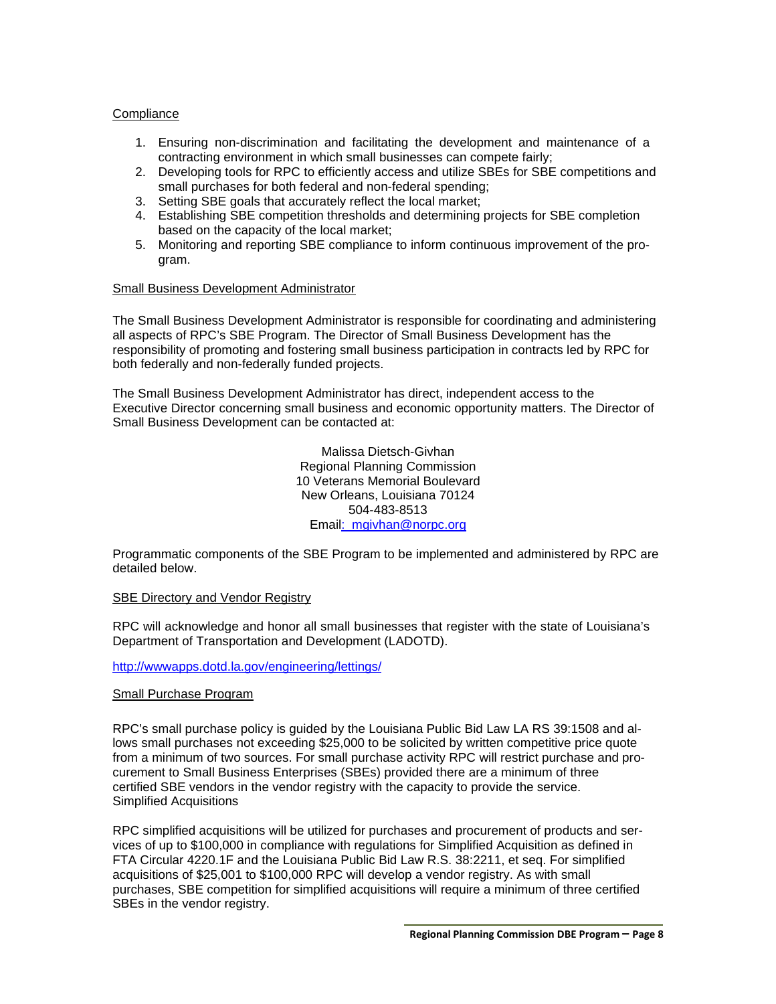### **Compliance**

- 1. Ensuring non-discrimination and facilitating the development and maintenance of a contracting environment in which small businesses can compete fairly;
- 2. Developing tools for RPC to efficiently access and utilize SBEs for SBE competitions and small purchases for both federal and non-federal spending;
- 3. Setting SBE goals that accurately reflect the local market;
- 4. Establishing SBE competition thresholds and determining projects for SBE completion based on the capacity of the local market;
- 5. Monitoring and reporting SBE compliance to inform continuous improvement of the program.

### Small Business Development Administrator

The Small Business Development Administrator is responsible for coordinating and administering all aspects of RPC's SBE Program. The Director of Small Business Development has the responsibility of promoting and fostering small business participation in contracts led by RPC for both federally and non-federally funded projects.

The Small Business Development Administrator has direct, independent access to the Executive Director concerning small business and economic opportunity matters. The Director of Small Business Development can be contacted at:

> Malissa Dietsch-Givhan Regional Planning Commission 10 Veterans Memorial Boulevard New Orleans, Louisiana 70124 504-483-8513 Ema[il: mgivhan@norpc.org](mailto:jsappington@norpc.org)

Programmatic components of the SBE Program to be implemented and administered by RPC are detailed below.

### SBE Directory and Vendor Registry

RPC will acknowledge and honor all small businesses that register with the state of Louisiana's Department of Transportation and Development (LADOTD).

<http://wwwapps.dotd.la.gov/engineering/lettings/>

### Small Purchase Program

RPC's small purchase policy is guided by the Louisiana Public Bid Law LA RS 39:1508 and allows small purchases not exceeding \$25,000 to be solicited by written competitive price quote from a minimum of two sources. For small purchase activity RPC will restrict purchase and procurement to Small Business Enterprises (SBEs) provided there are a minimum of three certified SBE vendors in the vendor registry with the capacity to provide the service. Simplified Acquisitions

RPC simplified acquisitions will be utilized for purchases and procurement of products and services of up to \$100,000 in compliance with regulations for Simplified Acquisition as defined in FTA Circular 4220.1F and the Louisiana Public Bid Law R.S. 38:2211, et seq. For simplified acquisitions of \$25,001 to \$100,000 RPC will develop a vendor registry. As with small purchases, SBE competition for simplified acquisitions will require a minimum of three certified SBEs in the vendor registry.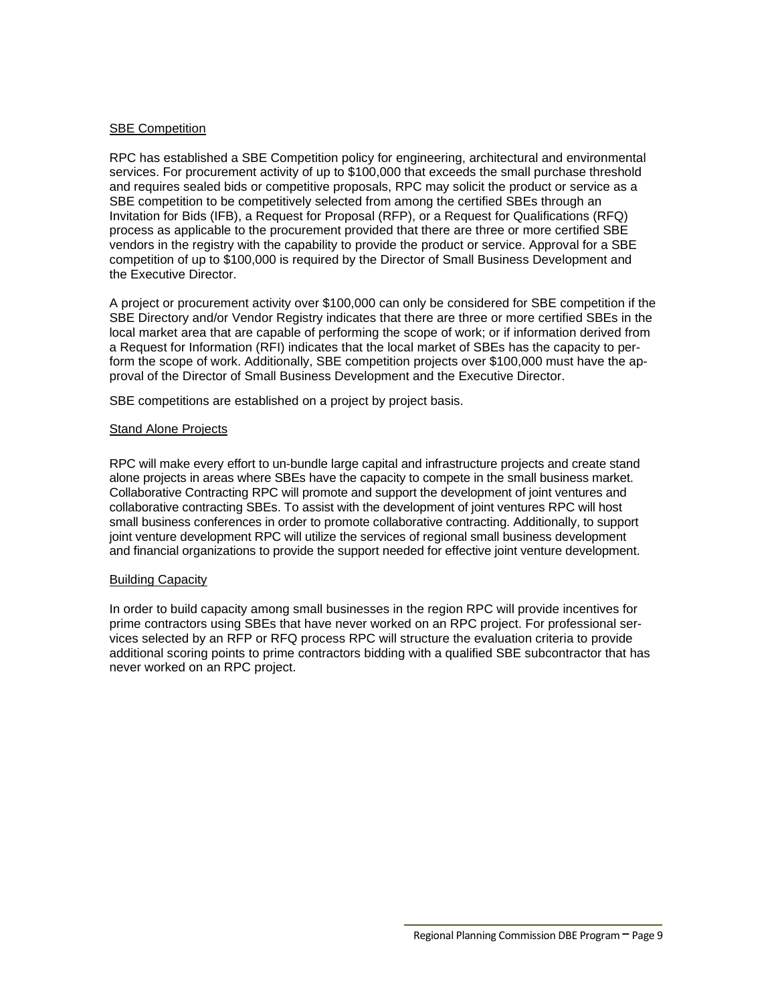### SBE Competition

RPC has established a SBE Competition policy for engineering, architectural and environmental services. For procurement activity of up to \$100,000 that exceeds the small purchase threshold and requires sealed bids or competitive proposals, RPC may solicit the product or service as a SBE competition to be competitively selected from among the certified SBEs through an Invitation for Bids (IFB), a Request for Proposal (RFP), or a Request for Qualifications (RFQ) process as applicable to the procurement provided that there are three or more certified SBE vendors in the registry with the capability to provide the product or service. Approval for a SBE competition of up to \$100,000 is required by the Director of Small Business Development and the Executive Director.

A project or procurement activity over \$100,000 can only be considered for SBE competition if the SBE Directory and/or Vendor Registry indicates that there are three or more certified SBEs in the local market area that are capable of performing the scope of work; or if information derived from a Request for Information (RFI) indicates that the local market of SBEs has the capacity to perform the scope of work. Additionally, SBE competition projects over \$100,000 must have the approval of the Director of Small Business Development and the Executive Director.

SBE competitions are established on a project by project basis.

### Stand Alone Projects

RPC will make every effort to un-bundle large capital and infrastructure projects and create stand alone projects in areas where SBEs have the capacity to compete in the small business market. Collaborative Contracting RPC will promote and support the development of joint ventures and collaborative contracting SBEs. To assist with the development of joint ventures RPC will host small business conferences in order to promote collaborative contracting. Additionally, to support joint venture development RPC will utilize the services of regional small business development and financial organizations to provide the support needed for effective joint venture development.

### Building Capacity

In order to build capacity among small businesses in the region RPC will provide incentives for prime contractors using SBEs that have never worked on an RPC project. For professional services selected by an RFP or RFQ process RPC will structure the evaluation criteria to provide additional scoring points to prime contractors bidding with a qualified SBE subcontractor that has never worked on an RPC project.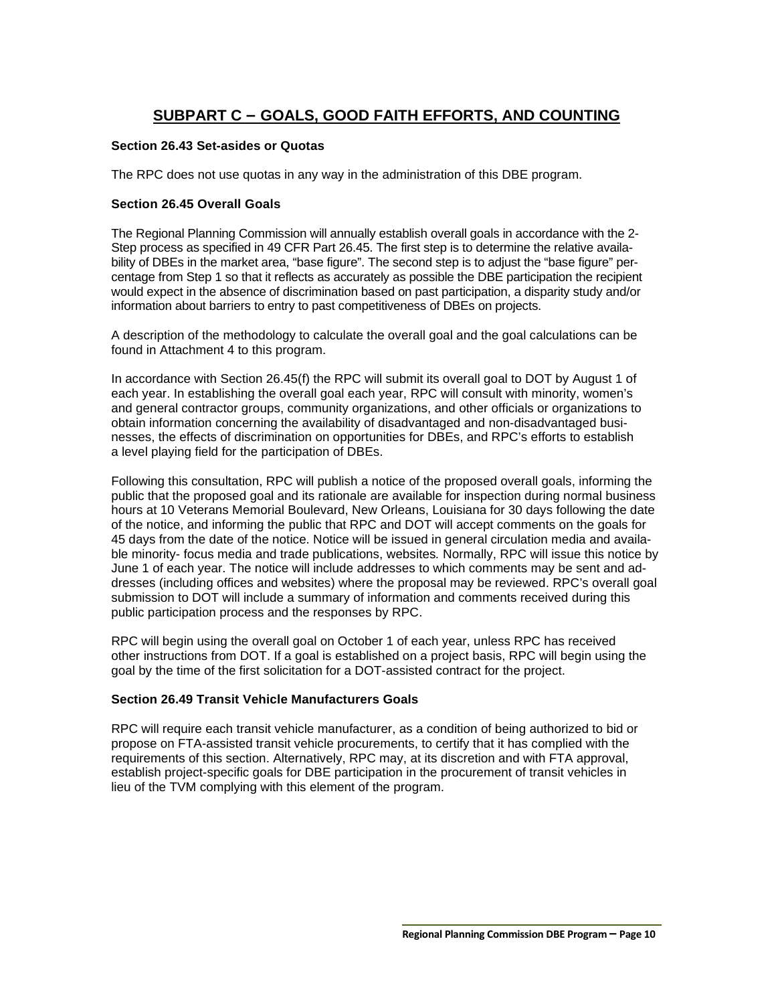# **SUBPART C – GOALS, GOOD FAITH EFFORTS, AND COUNTING**

## **Section 26.43 Set-asides or Quotas**

The RPC does not use quotas in any way in the administration of this DBE program.

### **Section 26.45 Overall Goals**

The Regional Planning Commission will annually establish overall goals in accordance with the 2- Step process as specified in 49 CFR Part 26.45. The first step is to determine the relative availability of DBEs in the market area, "base figure". The second step is to adjust the "base figure" percentage from Step 1 so that it reflects as accurately as possible the DBE participation the recipient would expect in the absence of discrimination based on past participation, a disparity study and/or information about barriers to entry to past competitiveness of DBEs on projects.

A description of the methodology to calculate the overall goal and the goal calculations can be found in Attachment 4 to this program.

In accordance with Section 26.45(f) the RPC will submit its overall goal to DOT by August 1 of each year. In establishing the overall goal each year, RPC will consult with minority, women's and general contractor groups, community organizations, and other officials or organizations to obtain information concerning the availability of disadvantaged and non-disadvantaged businesses, the effects of discrimination on opportunities for DBEs, and RPC's efforts to establish a level playing field for the participation of DBEs.

Following this consultation, RPC will publish a notice of the proposed overall goals, informing the public that the proposed goal and its rationale are available for inspection during normal business hours at 10 Veterans Memorial Boulevard, New Orleans, Louisiana for 30 days following the date of the notice, and informing the public that RPC and DOT will accept comments on the goals for 45 days from the date of the notice. Notice will be issued in general circulation media and available minority- focus media and trade publications, websites*.* Normally, RPC will issue this notice by June 1 of each year. The notice will include addresses to which comments may be sent and addresses (including offices and websites) where the proposal may be reviewed. RPC's overall goal submission to DOT will include a summary of information and comments received during this public participation process and the responses by RPC.

RPC will begin using the overall goal on October 1 of each year, unless RPC has received other instructions from DOT. If a goal is established on a project basis, RPC will begin using the goal by the time of the first solicitation for a DOT-assisted contract for the project.

### **Section 26.49 Transit Vehicle Manufacturers Goals**

RPC will require each transit vehicle manufacturer, as a condition of being authorized to bid or propose on FTA-assisted transit vehicle procurements, to certify that it has complied with the requirements of this section. Alternatively, RPC may, at its discretion and with FTA approval, establish project-specific goals for DBE participation in the procurement of transit vehicles in lieu of the TVM complying with this element of the program.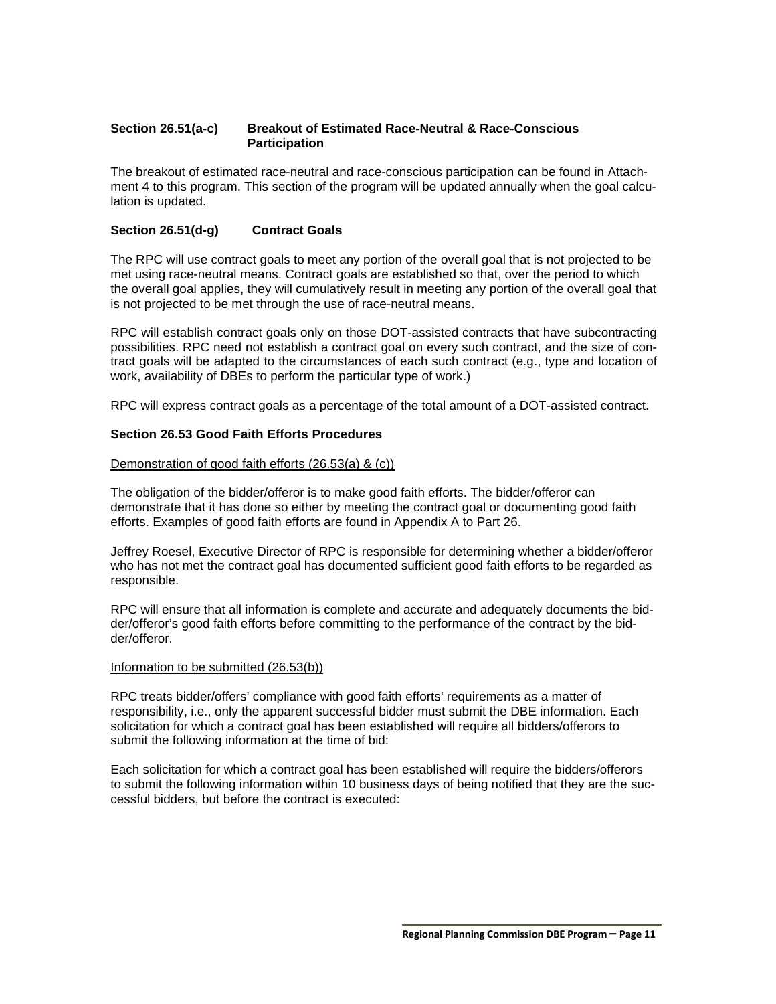### **Section 26.51(a-c) Breakout of Estimated Race-Neutral & Race-Conscious Participation**

The breakout of estimated race-neutral and race-conscious participation can be found in Attachment 4 to this program. This section of the program will be updated annually when the goal calculation is updated.

### **Section 26.51(d-g) Contract Goals**

The RPC will use contract goals to meet any portion of the overall goal that is not projected to be met using race-neutral means. Contract goals are established so that, over the period to which the overall goal applies, they will cumulatively result in meeting any portion of the overall goal that is not projected to be met through the use of race-neutral means.

RPC will establish contract goals only on those DOT-assisted contracts that have subcontracting possibilities. RPC need not establish a contract goal on every such contract, and the size of contract goals will be adapted to the circumstances of each such contract (e.g., type and location of work, availability of DBEs to perform the particular type of work.)

RPC will express contract goals as a percentage of the total amount of a DOT-assisted contract.

### **Section 26.53 Good Faith Efforts Procedures**

### Demonstration of good faith efforts (26.53(a) & (c))

The obligation of the bidder/offeror is to make good faith efforts. The bidder/offeror can demonstrate that it has done so either by meeting the contract goal or documenting good faith efforts. Examples of good faith efforts are found in Appendix A to Part 26.

Jeffrey Roesel, Executive Director of RPC is responsible for determining whether a bidder/offeror who has not met the contract goal has documented sufficient good faith efforts to be regarded as responsible.

RPC will ensure that all information is complete and accurate and adequately documents the bidder/offeror's good faith efforts before committing to the performance of the contract by the bidder/offeror.

#### Information to be submitted (26.53(b))

RPC treats bidder/offers' compliance with good faith efforts' requirements as a matter of responsibility, i.e., only the apparent successful bidder must submit the DBE information. Each solicitation for which a contract goal has been established will require all bidders/offerors to submit the following information at the time of bid:

Each solicitation for which a contract goal has been established will require the bidders/offerors to submit the following information within 10 business days of being notified that they are the successful bidders, but before the contract is executed: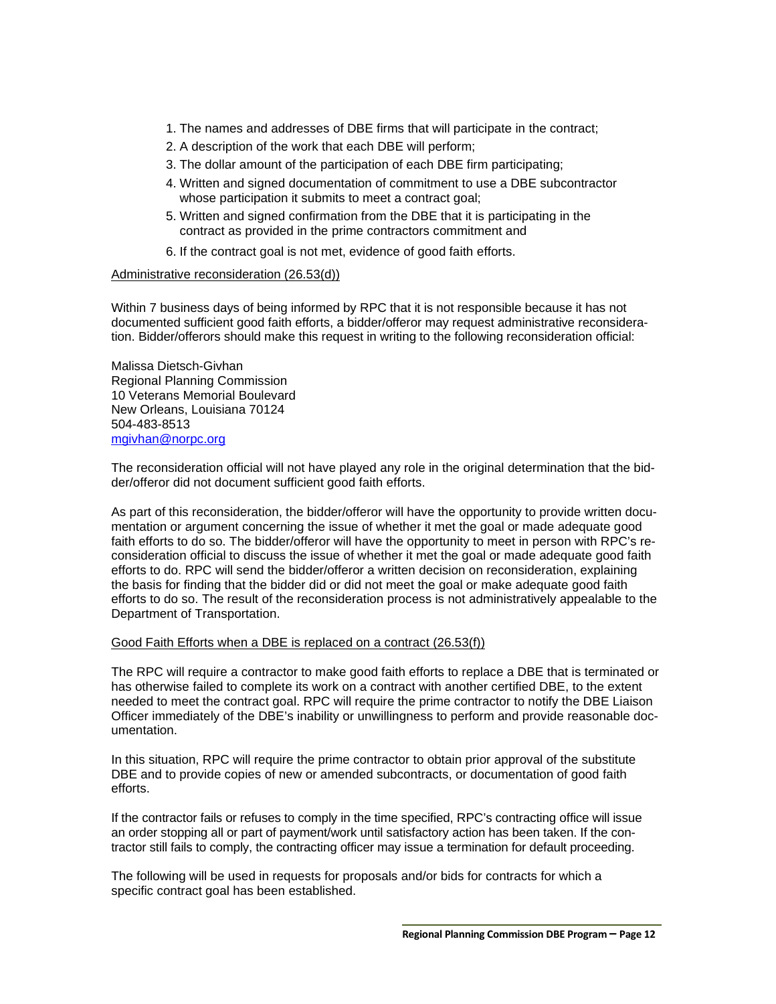- 1. The names and addresses of DBE firms that will participate in the contract;
- 2. A description of the work that each DBE will perform;
- 3. The dollar amount of the participation of each DBE firm participating;
- 4. Written and signed documentation of commitment to use a DBE subcontractor whose participation it submits to meet a contract goal;
- 5. Written and signed confirmation from the DBE that it is participating in the contract as provided in the prime contractors commitment and
- 6. If the contract goal is not met, evidence of good faith efforts.

### Administrative reconsideration (26.53(d))

Within 7 business days of being informed by RPC that it is not responsible because it has not documented sufficient good faith efforts, a bidder/offeror may request administrative reconsideration. Bidder/offerors should make this request in writing to the following reconsideration official:

Malissa Dietsch-Givhan Regional Planning Commission 10 Veterans Memorial Boulevard New Orleans, Louisiana 70124 504-483-8513 [mgivhan@norpc.org](mailto:nrichard@norpc.org)

The reconsideration official will not have played any role in the original determination that the bidder/offeror did not document sufficient good faith efforts.

As part of this reconsideration, the bidder/offeror will have the opportunity to provide written documentation or argument concerning the issue of whether it met the goal or made adequate good faith efforts to do so. The bidder/offeror will have the opportunity to meet in person with RPC's reconsideration official to discuss the issue of whether it met the goal or made adequate good faith efforts to do. RPC will send the bidder/offeror a written decision on reconsideration, explaining the basis for finding that the bidder did or did not meet the goal or make adequate good faith efforts to do so. The result of the reconsideration process is not administratively appealable to the Department of Transportation.

### Good Faith Efforts when a DBE is replaced on a contract (26.53(f))

The RPC will require a contractor to make good faith efforts to replace a DBE that is terminated or has otherwise failed to complete its work on a contract with another certified DBE, to the extent needed to meet the contract goal. RPC will require the prime contractor to notify the DBE Liaison Officer immediately of the DBE's inability or unwillingness to perform and provide reasonable documentation.

In this situation, RPC will require the prime contractor to obtain prior approval of the substitute DBE and to provide copies of new or amended subcontracts, or documentation of good faith efforts.

If the contractor fails or refuses to comply in the time specified, RPC's contracting office will issue an order stopping all or part of payment/work until satisfactory action has been taken. If the contractor still fails to comply, the contracting officer may issue a termination for default proceeding.

The following will be used in requests for proposals and/or bids for contracts for which a specific contract goal has been established.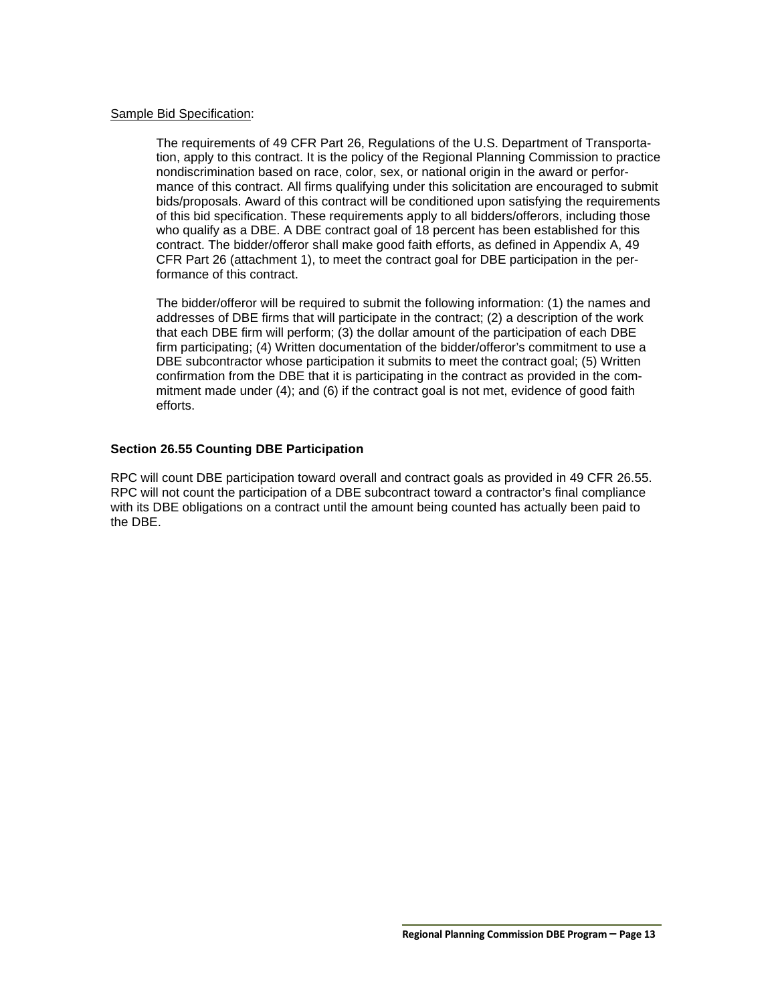### Sample Bid Specification:

The requirements of 49 CFR Part 26, Regulations of the U.S. Department of Transportation, apply to this contract. It is the policy of the Regional Planning Commission to practice nondiscrimination based on race, color, sex, or national origin in the award or performance of this contract. All firms qualifying under this solicitation are encouraged to submit bids/proposals. Award of this contract will be conditioned upon satisfying the requirements of this bid specification. These requirements apply to all bidders/offerors, including those who qualify as a DBE. A DBE contract goal of 18 percent has been established for this contract. The bidder/offeror shall make good faith efforts, as defined in Appendix A, 49 CFR Part 26 (attachment 1), to meet the contract goal for DBE participation in the performance of this contract.

The bidder/offeror will be required to submit the following information: (1) the names and addresses of DBE firms that will participate in the contract; (2) a description of the work that each DBE firm will perform; (3) the dollar amount of the participation of each DBE firm participating; (4) Written documentation of the bidder/offeror's commitment to use a DBE subcontractor whose participation it submits to meet the contract goal; (5) Written confirmation from the DBE that it is participating in the contract as provided in the commitment made under (4); and (6) if the contract goal is not met, evidence of good faith efforts.

### **Section 26.55 Counting DBE Participation**

RPC will count DBE participation toward overall and contract goals as provided in 49 CFR 26.55. RPC will not count the participation of a DBE subcontract toward a contractor's final compliance with its DBE obligations on a contract until the amount being counted has actually been paid to the DBE.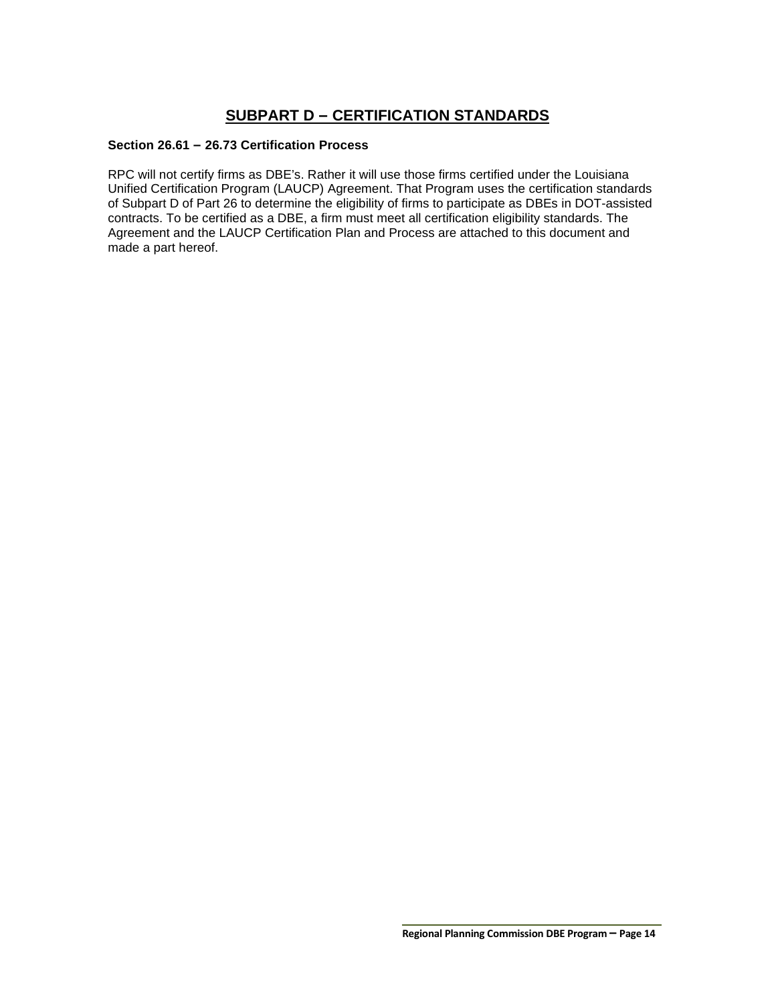# **SUBPART D – CERTIFICATION STANDARDS**

### **Section 26.61 – 26.73 Certification Process**

RPC will not certify firms as DBE's. Rather it will use those firms certified under the Louisiana Unified Certification Program (LAUCP) Agreement. That Program uses the certification standards of Subpart D of Part 26 to determine the eligibility of firms to participate as DBEs in DOT-assisted contracts. To be certified as a DBE, a firm must meet all certification eligibility standards. The Agreement and the LAUCP Certification Plan and Process are attached to this document and made a part hereof.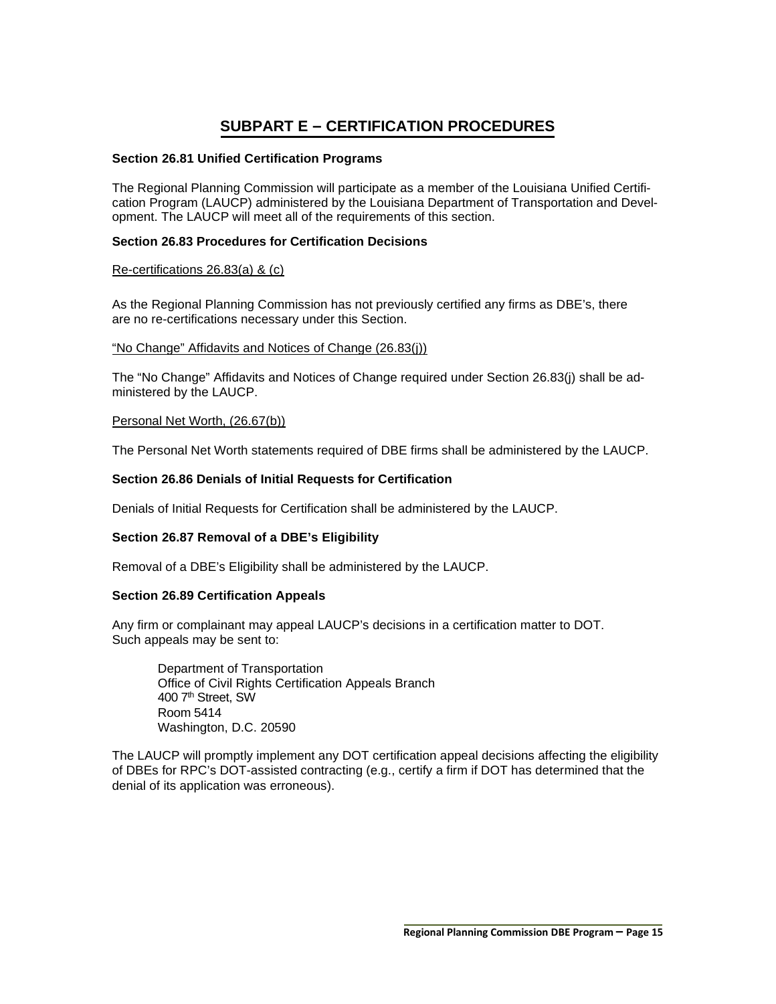# **SUBPART E – CERTIFICATION PROCEDURES**

### **Section 26.81 Unified Certification Programs**

The Regional Planning Commission will participate as a member of the Louisiana Unified Certification Program (LAUCP) administered by the Louisiana Department of Transportation and Development. The LAUCP will meet all of the requirements of this section.

### **Section 26.83 Procedures for Certification Decisions**

### Re-certifications 26.83(a) & (c)

As the Regional Planning Commission has not previously certified any firms as DBE's, there are no re-certifications necessary under this Section.

### "No Change" Affidavits and Notices of Change (26.83(j))

The "No Change" Affidavits and Notices of Change required under Section 26.83(j) shall be administered by the LAUCP.

### Personal Net Worth, (26.67(b))

The Personal Net Worth statements required of DBE firms shall be administered by the LAUCP.

### **Section 26.86 Denials of Initial Requests for Certification**

Denials of Initial Requests for Certification shall be administered by the LAUCP.

### **Section 26.87 Removal of a DBE's Eligibility**

Removal of a DBE's Eligibility shall be administered by the LAUCP.

### **Section 26.89 Certification Appeals**

Any firm or complainant may appeal LAUCP's decisions in a certification matter to DOT. Such appeals may be sent to:

Department of Transportation Office of Civil Rights Certification Appeals Branch 400 7<sup>th</sup> Street, SW Room 5414 Washington, D.C. 20590

The LAUCP will promptly implement any DOT certification appeal decisions affecting the eligibility of DBEs for RPC's DOT-assisted contracting (e.g., certify a firm if DOT has determined that the denial of its application was erroneous).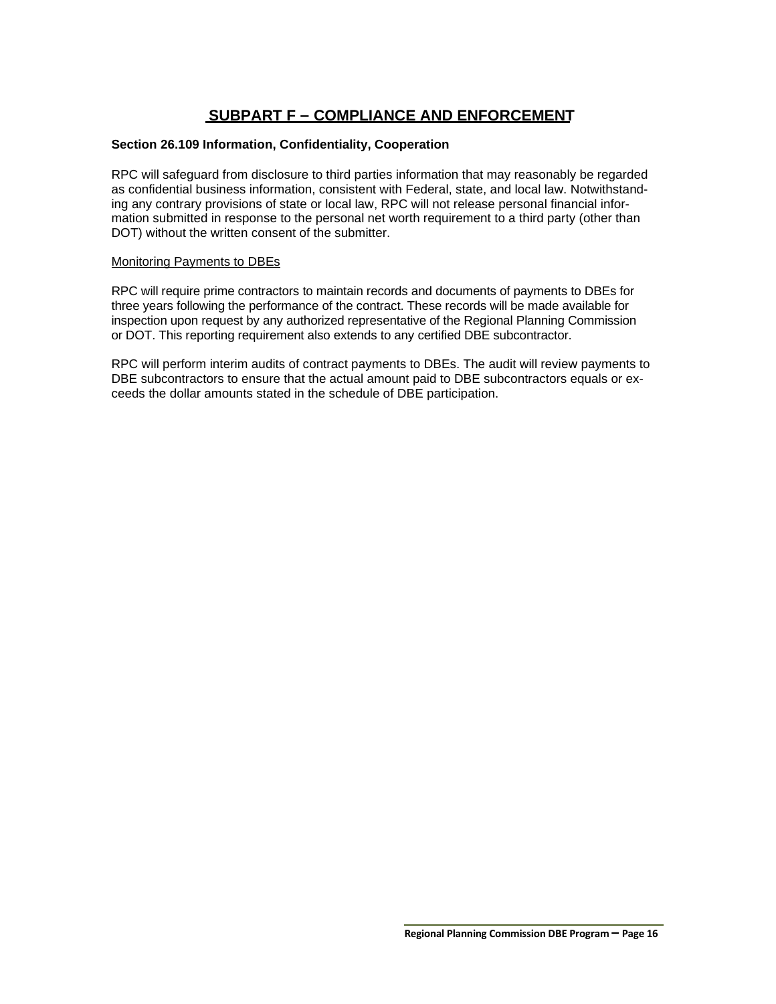# **SUBPART F – COMPLIANCE AND ENFORCEMENT**

### **Section 26.109 Information, Confidentiality, Cooperation**

RPC will safeguard from disclosure to third parties information that may reasonably be regarded as confidential business information, consistent with Federal, state, and local law. Notwithstanding any contrary provisions of state or local law, RPC will not release personal financial information submitted in response to the personal net worth requirement to a third party (other than DOT) without the written consent of the submitter.

### Monitoring Payments to DBEs

RPC will require prime contractors to maintain records and documents of payments to DBEs for three years following the performance of the contract. These records will be made available for inspection upon request by any authorized representative of the Regional Planning Commission or DOT. This reporting requirement also extends to any certified DBE subcontractor.

RPC will perform interim audits of contract payments to DBEs. The audit will review payments to DBE subcontractors to ensure that the actual amount paid to DBE subcontractors equals or exceeds the dollar amounts stated in the schedule of DBE participation.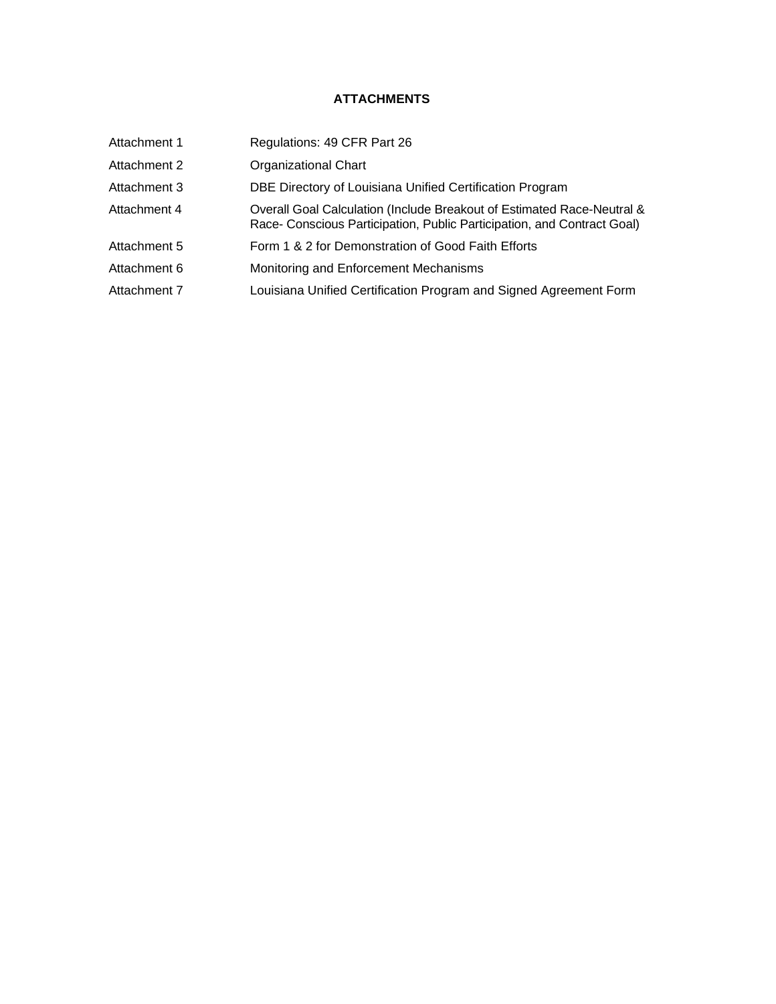# **ATTACHMENTS**

| Attachment 1 | Regulations: 49 CFR Part 26                                                                                                                       |
|--------------|---------------------------------------------------------------------------------------------------------------------------------------------------|
| Attachment 2 | <b>Organizational Chart</b>                                                                                                                       |
| Attachment 3 | DBE Directory of Louisiana Unified Certification Program                                                                                          |
| Attachment 4 | Overall Goal Calculation (Include Breakout of Estimated Race-Neutral &<br>Race- Conscious Participation, Public Participation, and Contract Goal) |
| Attachment 5 | Form 1 & 2 for Demonstration of Good Faith Efforts                                                                                                |
| Attachment 6 | Monitoring and Enforcement Mechanisms                                                                                                             |
| Attachment 7 | Louisiana Unified Certification Program and Signed Agreement Form                                                                                 |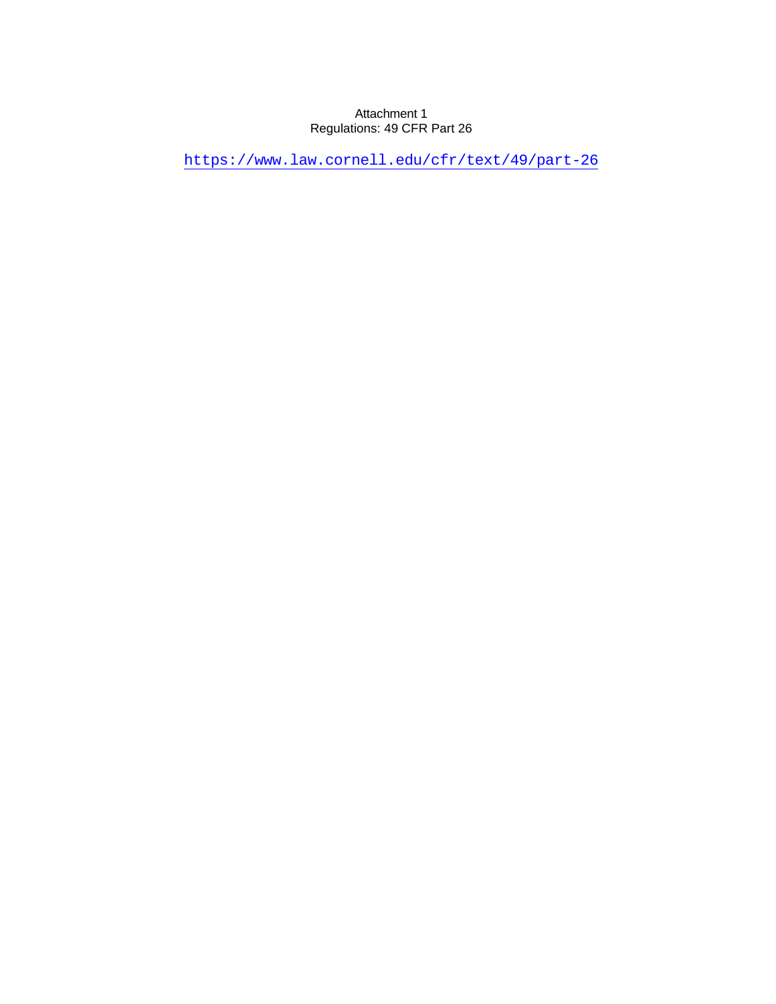## Attachment 1 Regulations: 49 CFR Part 26

<https://www.law.cornell.edu/cfr/text/49/part-26>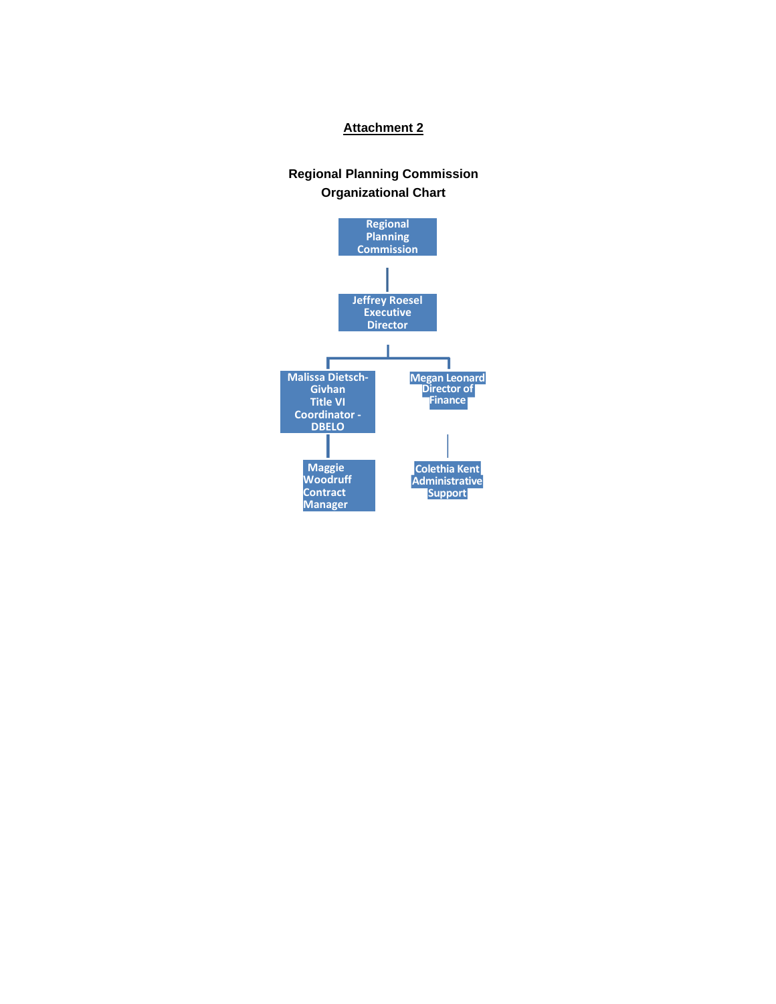### **Attachment 2**

# **Regional Planning Commission Organizational Chart**

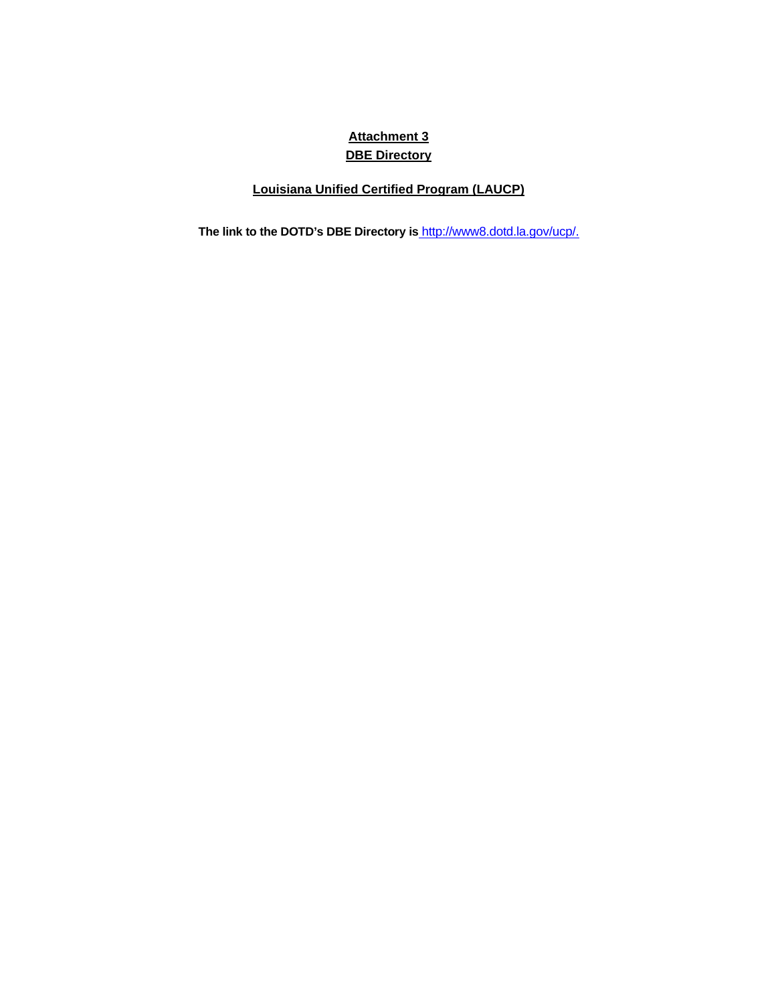# **Attachment 3 DBE Directory**

# **Louisiana Unified Certified Program (LAUCP)**

**The link to the DOTD's DBE Directory is** [http://www8.dotd.la.gov/ucp/.](http://www8.dotd.la.gov/ucp/)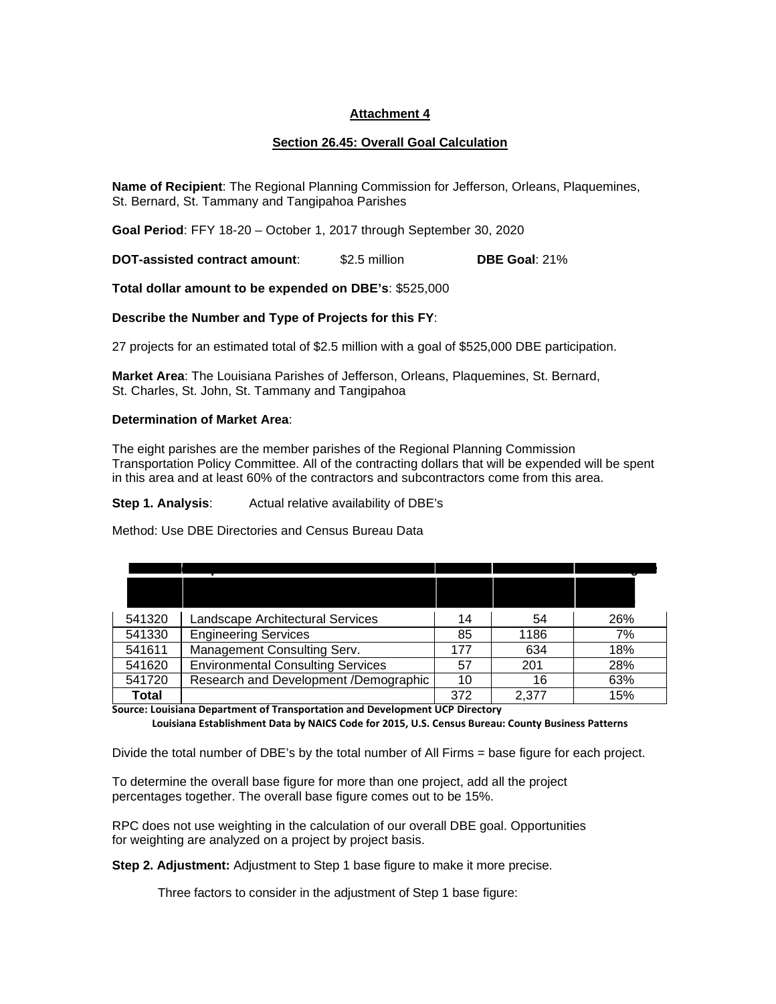## **Attachment 4**

## **Section 26.45: Overall Goal Calculation**

**Name of Recipient**: The Regional Planning Commission for Jefferson, Orleans, Plaquemines, St. Bernard, St. Tammany and Tangipahoa Parishes

**Goal Period**: FFY 18-20 – October 1, 2017 through September 30, 2020

**DOT-assisted contract amount**: \$2.5 million **DBE Goal**: 21%

**Total dollar amount to be expended on DBE's**: \$525,000

**Describe the Number and Type of Projects for this FY**:

27 projects for an estimated total of \$2.5 million with a goal of \$525,000 DBE participation.

**Market Area**: The Louisiana Parishes of Jefferson, Orleans, Plaquemines, St. Bernard, St. Charles, St. John, St. Tammany and Tangipahoa

### **Determination of Market Area**:

The eight parishes are the member parishes of the Regional Planning Commission Transportation Policy Committee. All of the contracting dollars that will be expended will be spent in this area and at least 60% of the contractors and subcontractors come from this area.

### **Step 1. Analysis:** Actual relative availability of DBE's

Method: Use DBE Directories and Census Bureau Data

| 541320 | Landscape Architectural Services         | 14  | 54    | 26% |
|--------|------------------------------------------|-----|-------|-----|
| 541330 | <b>Engineering Services</b>              | 85  | 1186  | 7%  |
| 541611 | Management Consulting Serv.              | 177 | 634   | 18% |
| 541620 | <b>Environmental Consulting Services</b> | 57  | 201   | 28% |
| 541720 | Research and Development /Demographic    | 10  | 16    | 63% |
| Total  |                                          | 372 | 2,377 | 15% |

**Source: Louisiana Department of Transportation and Development UCP Directory** 

**Louisiana Establishment Data by NAICS Code for 2015, U.S. Census Bureau: County Business Patterns** 

Divide the total number of DBE's by the total number of All Firms = base figure for each project.

To determine the overall base figure for more than one project, add all the project percentages together. The overall base figure comes out to be 15%.

RPC does not use weighting in the calculation of our overall DBE goal. Opportunities for weighting are analyzed on a project by project basis.

**Step 2. Adjustment:** Adjustment to Step 1 base figure to make it more precise.

Three factors to consider in the adjustment of Step 1 base figure: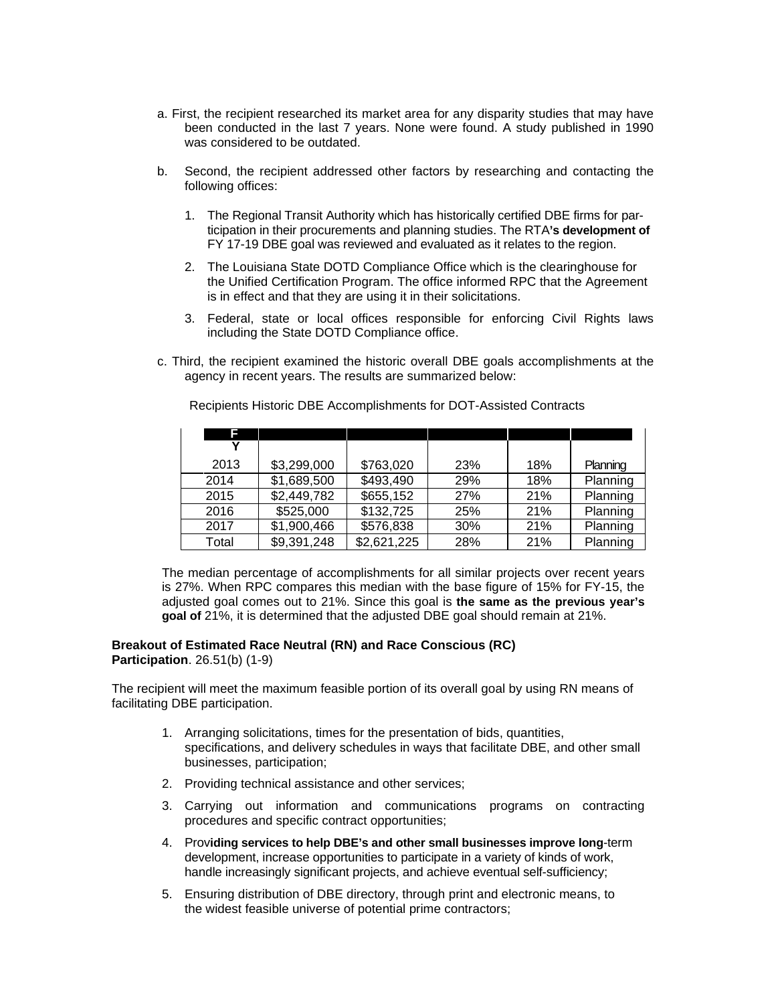- a. First, the recipient researched its market area for any disparity studies that may have been conducted in the last 7 years. None were found. A study published in 1990 was considered to be outdated.
- b. Second, the recipient addressed other factors by researching and contacting the following offices:
	- 1. The Regional Transit Authority which has historically certified DBE firms for participation in their procurements and planning studies. The RTA**'s development of**  FY 17-19 DBE goal was reviewed and evaluated as it relates to the region.
	- 2. The Louisiana State DOTD Compliance Office which is the clearinghouse for the Unified Certification Program. The office informed RPC that the Agreement is in effect and that they are using it in their solicitations.
	- 3. Federal, state or local offices responsible for enforcing Civil Rights laws including the State DOTD Compliance office.
- c. Third, the recipient examined the historic overall DBE goals accomplishments at the agency in recent years. The results are summarized below:

| F     |             |             |     |     |          |
|-------|-------------|-------------|-----|-----|----------|
|       |             |             |     |     |          |
| 2013  | \$3,299,000 | \$763,020   | 23% | 18% | Planning |
| 2014  | \$1,689,500 | \$493,490   | 29% | 18% | Planning |
| 2015  | \$2,449,782 | \$655,152   | 27% | 21% | Planning |
| 2016  | \$525,000   | \$132,725   | 25% | 21% | Planning |
| 2017  | \$1,900,466 | \$576,838   | 30% | 21% | Planning |
| Total | \$9,391,248 | \$2,621,225 | 28% | 21% | Planning |

Recipients Historic DBE Accomplishments for DOT-Assisted Contracts

The median percentage of accomplishments for all similar projects over recent years is 27%. When RPC compares this median with the base figure of 15% for FY-15, the adjusted goal comes out to 21%. Since this goal is **the same as the previous year's goal of** 21%, it is determined that the adjusted DBE goal should remain at 21%.

# **Breakout of Estimated Race Neutral (RN) and Race Conscious (RC)**

**Participation**. 26.51(b) (1-9)

The recipient will meet the maximum feasible portion of its overall goal by using RN means of facilitating DBE participation.

- 1. Arranging solicitations, times for the presentation of bids, quantities, specifications, and delivery schedules in ways that facilitate DBE, and other small businesses, participation;
- 2. Providing technical assistance and other services;
- 3. Carrying out information and communications programs on contracting procedures and specific contract opportunities;
- 4. Prov**iding services to help DBE's and other small businesses improve long**-term development, increase opportunities to participate in a variety of kinds of work, handle increasingly significant projects, and achieve eventual self-sufficiency;
- 5. Ensuring distribution of DBE directory, through print and electronic means, to the widest feasible universe of potential prime contractors;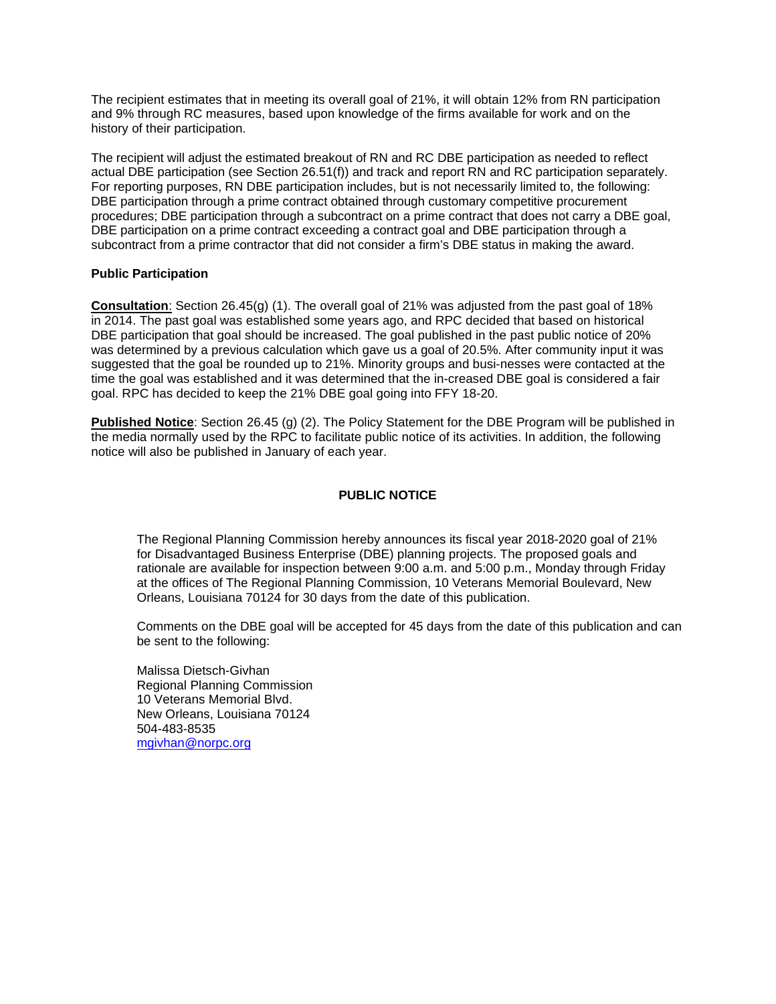The recipient estimates that in meeting its overall goal of 21%, it will obtain 12% from RN participation and 9% through RC measures, based upon knowledge of the firms available for work and on the history of their participation.

The recipient will adjust the estimated breakout of RN and RC DBE participation as needed to reflect actual DBE participation (see Section 26.51(f)) and track and report RN and RC participation separately. For reporting purposes, RN DBE participation includes, but is not necessarily limited to, the following: DBE participation through a prime contract obtained through customary competitive procurement procedures; DBE participation through a subcontract on a prime contract that does not carry a DBE goal, DBE participation on a prime contract exceeding a contract goal and DBE participation through a subcontract from a prime contractor that did not consider a firm's DBE status in making the award.

### **Public Participation**

**Consultation**: Section 26.45(g) (1). The overall goal of 21% was adjusted from the past goal of 18% in 2014. The past goal was established some years ago, and RPC decided that based on historical DBE participation that goal should be increased. The goal published in the past public notice of 20% was determined by a previous calculation which gave us a goal of 20.5%. After community input it was suggested that the goal be rounded up to 21%. Minority groups and busi-nesses were contacted at the time the goal was established and it was determined that the in-creased DBE goal is considered a fair goal. RPC has decided to keep the 21% DBE goal going into FFY 18-20.

**Published Notice**: Section 26.45 (g) (2). The Policy Statement for the DBE Program will be published in the media normally used by the RPC to facilitate public notice of its activities. In addition, the following notice will also be published in January of each year.

## **PUBLIC NOTICE**

The Regional Planning Commission hereby announces its fiscal year 2018-2020 goal of 21% for Disadvantaged Business Enterprise (DBE) planning projects. The proposed goals and rationale are available for inspection between 9:00 a.m. and 5:00 p.m., Monday through Friday at the offices of The Regional Planning Commission, 10 Veterans Memorial Boulevard, New Orleans, Louisiana 70124 for 30 days from the date of this publication.

Comments on the DBE goal will be accepted for 45 days from the date of this publication and can be sent to the following:

Malissa Dietsch-Givhan Regional Planning Commission 10 Veterans Memorial Blvd. New Orleans, Louisiana 70124 504-483-8535 [mgivhan@norpc.org](mailto:jsappington@norpc.org)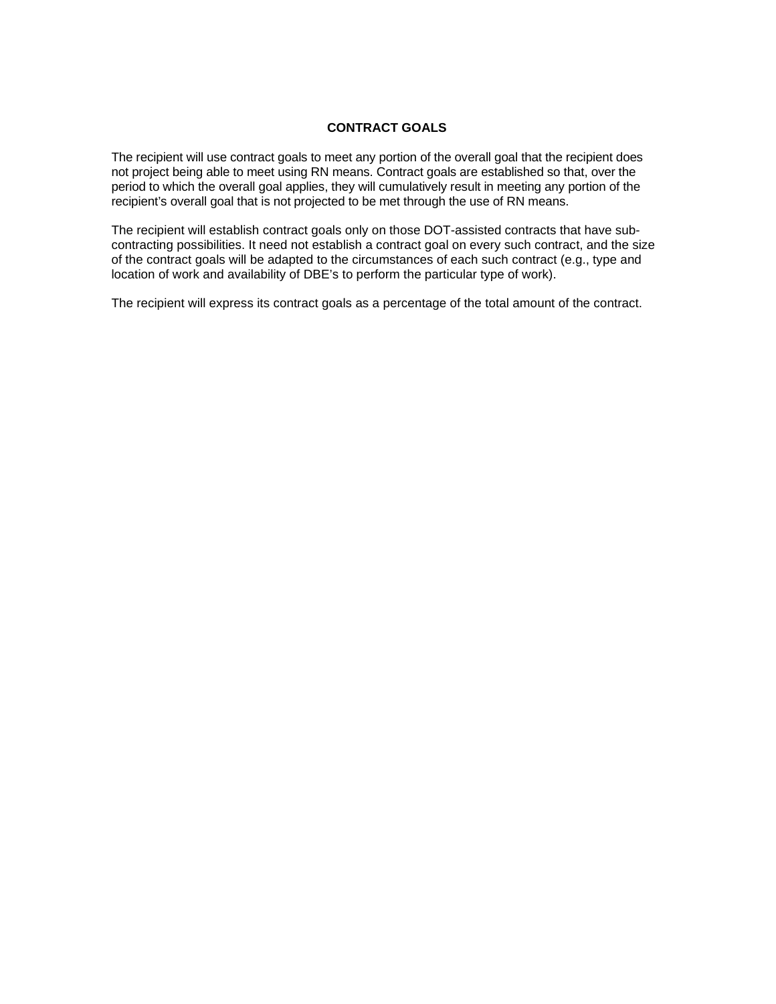### **CONTRACT GOALS**

The recipient will use contract goals to meet any portion of the overall goal that the recipient does not project being able to meet using RN means. Contract goals are established so that, over the period to which the overall goal applies, they will cumulatively result in meeting any portion of the recipient's overall goal that is not projected to be met through the use of RN means.

The recipient will establish contract goals only on those DOT-assisted contracts that have subcontracting possibilities. It need not establish a contract goal on every such contract, and the size of the contract goals will be adapted to the circumstances of each such contract (e.g., type and location of work and availability of DBE's to perform the particular type of work).

The recipient will express its contract goals as a percentage of the total amount of the contract.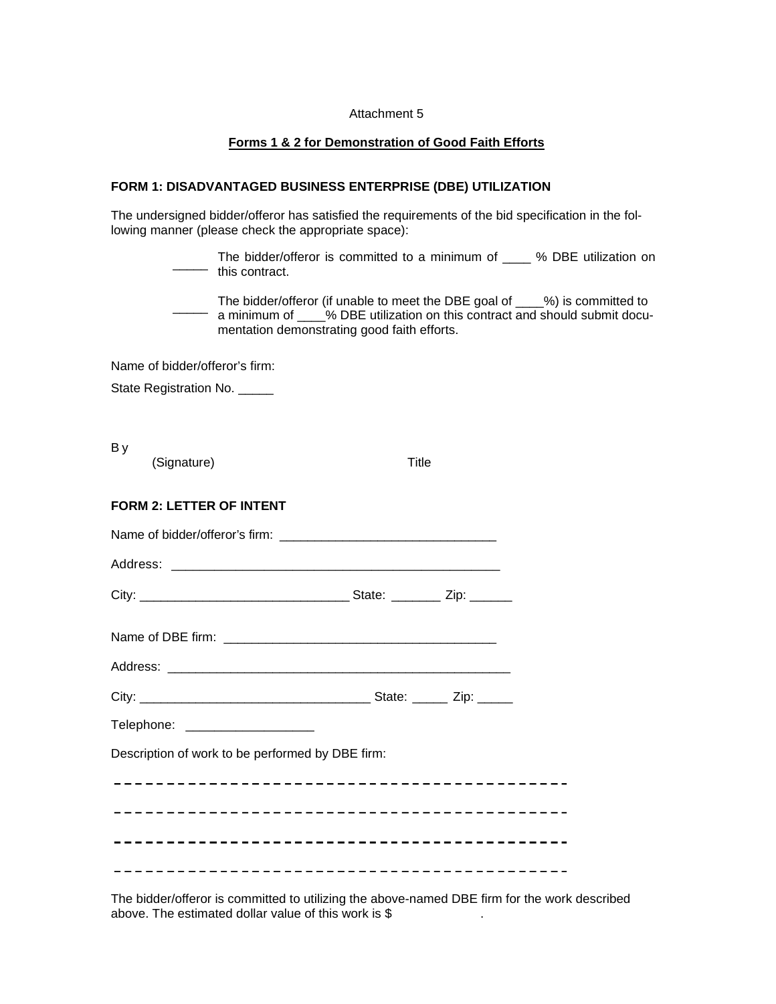#### Attachment 5

### **Forms 1 & 2 for Demonstration of Good Faith Efforts**

### **FORM 1: DISADVANTAGED BUSINESS ENTERPRISE (DBE) UTILIZATION**

The undersigned bidder/offeror has satisfied the requirements of the bid specification in the following manner (please check the appropriate space):

> $\overline{\phantom{a}}$ The bidder/offeror is committed to a minimum of \_\_\_\_ % DBE utilization on  $-$  this contract.

 $\overline{\phantom{a}}$ The bidder/offeror (if unable to meet the DBE goal of \_\_\_\_%) is committed to a minimum of \_\_\_\_% DBE utilization on this contract and should submit documentation demonstrating good faith efforts.

Name of bidder/offeror's firm:

State Registration No. \_\_\_\_\_

B y

| (Signature)                                      | Title |  |  |
|--------------------------------------------------|-------|--|--|
| <b>FORM 2: LETTER OF INTENT</b>                  |       |  |  |
|                                                  |       |  |  |
|                                                  |       |  |  |
|                                                  |       |  |  |
|                                                  |       |  |  |
|                                                  |       |  |  |
|                                                  |       |  |  |
| Telephone: ____________________                  |       |  |  |
| Description of work to be performed by DBE firm: |       |  |  |
|                                                  |       |  |  |
|                                                  |       |  |  |
|                                                  |       |  |  |
|                                                  |       |  |  |

The bidder/offeror is committed to utilizing the above-named DBE firm for the work described above. The estimated dollar value of this work is \$ .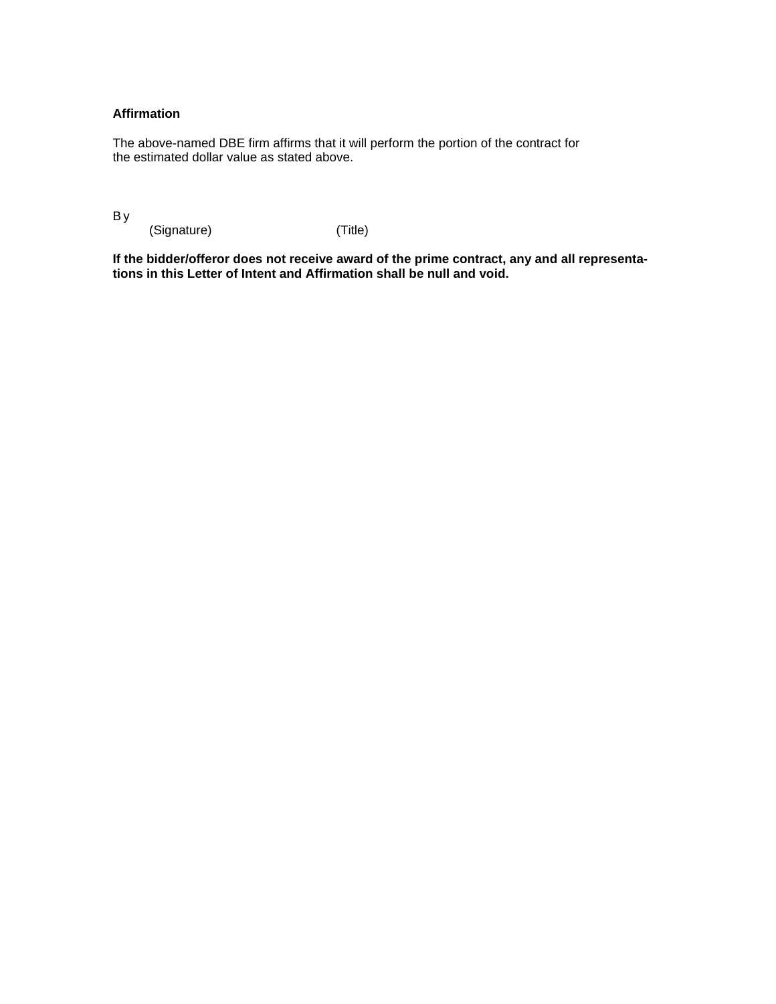## **Affirmation**

The above-named DBE firm affirms that it will perform the portion of the contract for the estimated dollar value as stated above.

B y

(Signature) (Title)

**If the bidder/offeror does not receive award of the prime contract, any and all representations in this Letter of Intent and Affirmation shall be null and void.**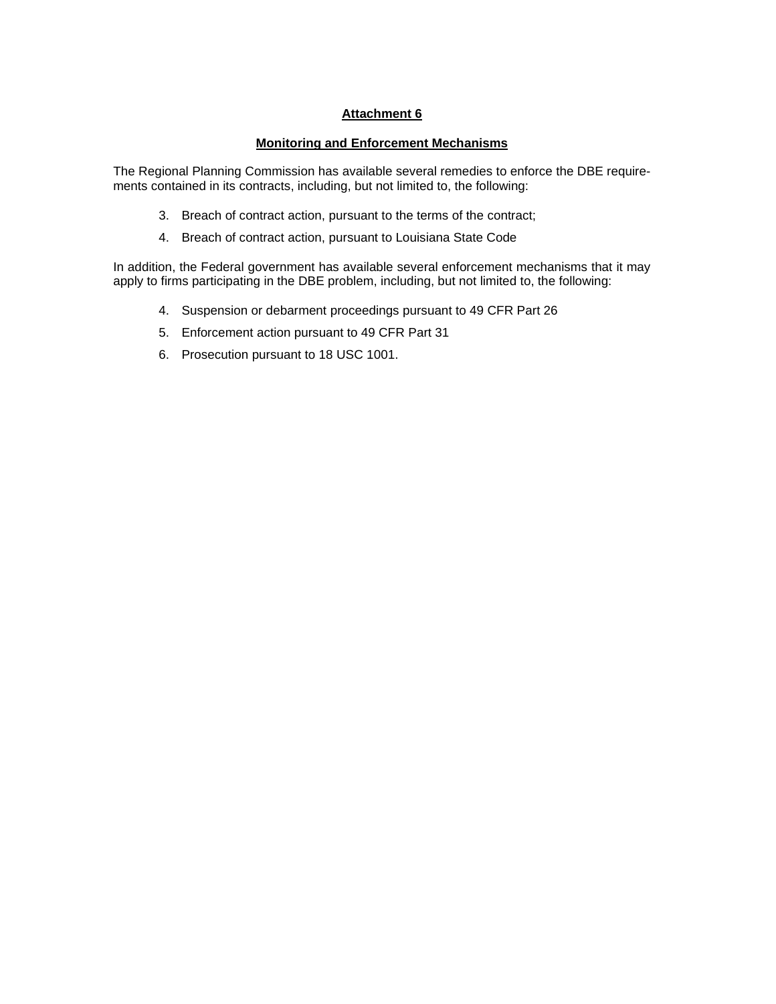## **Attachment 6**

## **Monitoring and Enforcement Mechanisms**

The Regional Planning Commission has available several remedies to enforce the DBE requirements contained in its contracts, including, but not limited to, the following:

- 3. Breach of contract action, pursuant to the terms of the contract;
- 4. Breach of contract action, pursuant to Louisiana State Code

In addition, the Federal government has available several enforcement mechanisms that it may apply to firms participating in the DBE problem, including, but not limited to, the following:

- 4. Suspension or debarment proceedings pursuant to 49 CFR Part 26
- 5. Enforcement action pursuant to 49 CFR Part 31
- 6. Prosecution pursuant to 18 USC 1001.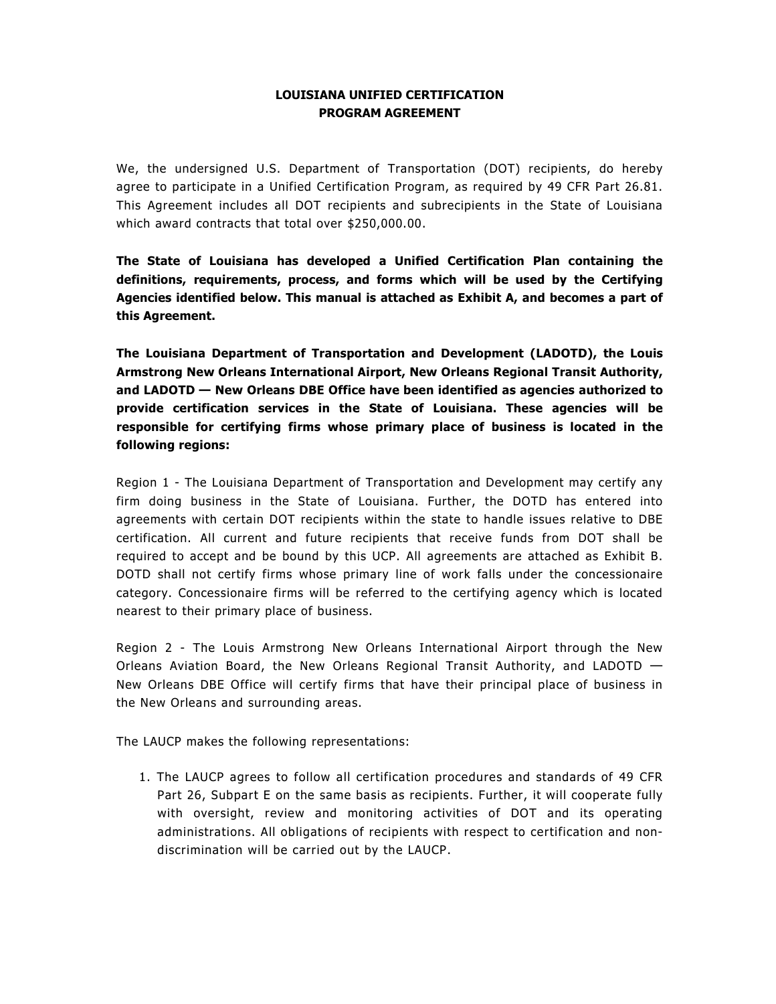## **LOUISIANA UNIFIED CERTIFICATION PROGRAM AGREEMENT**

We, the undersigned U.S. Department of Transportation (DOT) recipients, do hereby agree to participate in a Unified Certification Program, as required by 49 CFR Part 26.81. This Agreement includes all DOT recipients and subrecipients in the State of Louisiana which award contracts that total over \$250,000.00.

**The State of Louisiana has developed a Unified Certification Plan containing the definitions, requirements, process, and forms which will be used by the Certifying Agencies identified below. This manual is attached as Exhibit A, and becomes a part of this Agreement.** 

**The Louisiana Department of Transportation and Development (LADOTD), the Louis Armstrong New Orleans International Airport, New Orleans Regional Transit Authority, and LADOTD — New Orleans DBE Office have been identified as agencies authorized to provide certification services in the State of Louisiana. These agencies will be responsible for certifying firms whose primary place of business is located in the following regions:** 

Region 1 - The Louisiana Department of Transportation and Development may certify any firm doing business in the State of Louisiana. Further, the DOTD has entered into agreements with certain DOT recipients within the state to handle issues relative to DBE certification. All current and future recipients that receive funds from DOT shall be required to accept and be bound by this UCP. All agreements are attached as Exhibit B. DOTD shall not certify firms whose primary line of work falls under the concessionaire category. Concessionaire firms will be referred to the certifying agency which is located nearest to their primary place of business.

Region 2 - The Louis Armstrong New Orleans International Airport through the New Orleans Aviation Board, the New Orleans Regional Transit Authority, and LADOTD — New Orleans DBE Office will certify firms that have their principal place of business in the New Orleans and surrounding areas.

The LAUCP makes the following representations:

1. The LAUCP agrees to follow all certification procedures and standards of 49 CFR Part 26, Subpart E on the same basis as recipients. Further, it will cooperate fully with oversight, review and monitoring activities of DOT and its operating administrations. All obligations of recipients with respect to certification and nondiscrimination will be carried out by the LAUCP.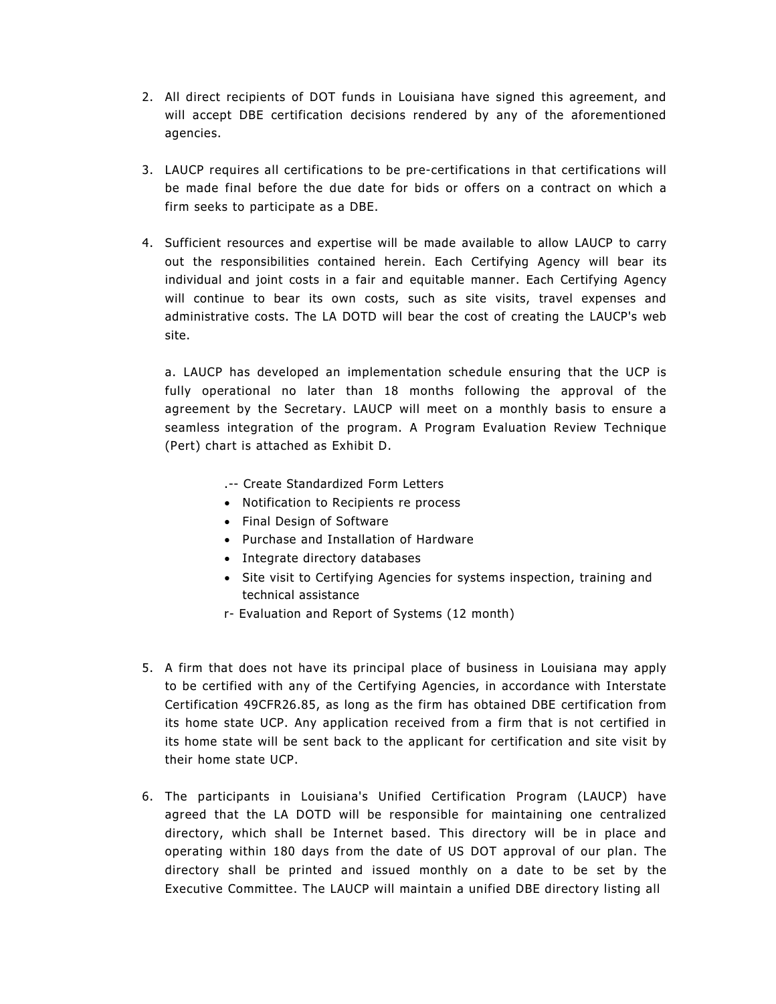- 2. All direct recipients of DOT funds in Louisiana have signed this agreement, and will accept DBE certification decisions rendered by any of the aforementioned agencies.
- 3. LAUCP requires all certifications to be pre-certifications in that certifications will be made final before the due date for bids or offers on a contract on which a firm seeks to participate as a DBE.
- 4. Sufficient resources and expertise will be made available to allow LAUCP to carry out the responsibilities contained herein. Each Certifying Agency will bear its individual and joint costs in a fair and equitable manner. Each Certifying Agency will continue to bear its own costs, such as site visits, travel expenses and administrative costs. The LA DOTD will bear the cost of creating the LAUCP's web site.

a. LAUCP has developed an implementation schedule ensuring that the UCP is fully operational no later than 18 months following the approval of the agreement by the Secretary. LAUCP will meet on a monthly basis to ensure a seamless integration of the program. A Program Evaluation Review Technique (Pert) chart is attached as Exhibit D.

.-- Create Standardized Form Letters

- Notification to Recipients re process
- Final Design of Software
- Purchase and Installation of Hardware
- Integrate directory databases
- Site visit to Certifying Agencies for systems inspection, training and technical assistance
- r- Evaluation and Report of Systems (12 month)
- 5. A firm that does not have its principal place of business in Louisiana may apply to be certified with any of the Certifying Agencies, in accordance with Interstate Certification 49CFR26.85, as long as the firm has obtained DBE certification from its home state UCP. Any application received from a firm that is not certified in its home state will be sent back to the applicant for certification and site visit by their home state UCP.
- 6. The participants in Louisiana's Unified Certification Program (LAUCP) have agreed that the LA DOTD will be responsible for maintaining one centralized directory, which shall be Internet based. This directory will be in place and operating within 180 days from the date of US DOT approval of our plan. The directory shall be printed and issued monthly on a date to be set by the Executive Committee. The LAUCP will maintain a unified DBE directory listing all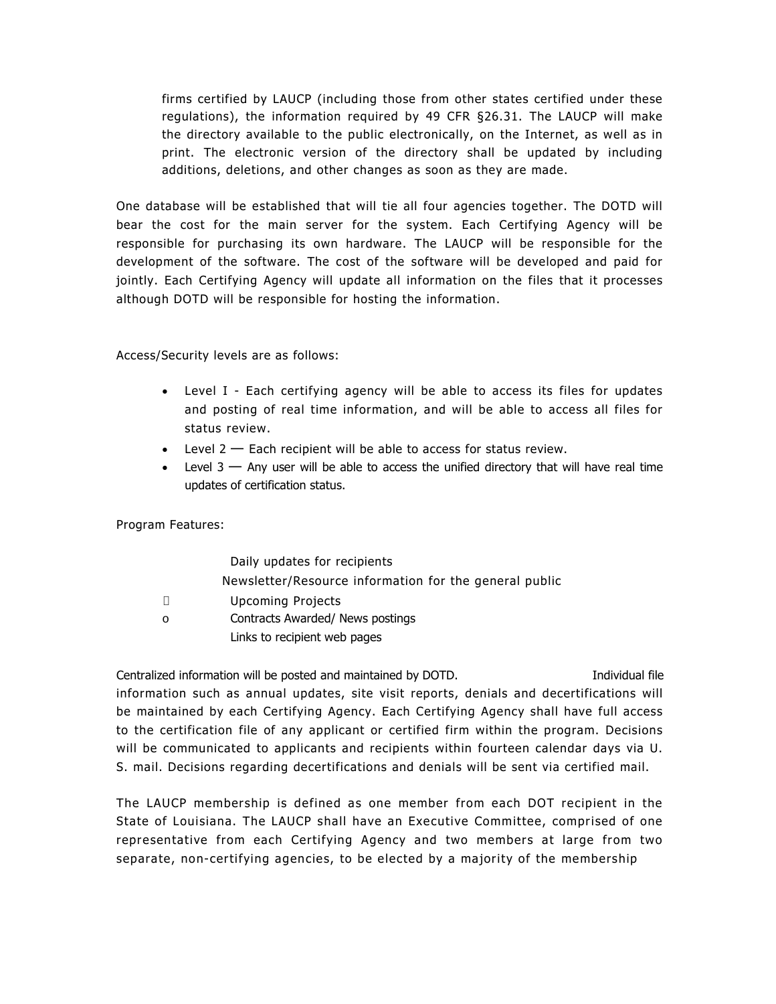firms certified by LAUCP (including those from other states certified under these regulations), the information required by 49 CFR §26.31. The LAUCP will make the directory available to the public electronically, on the Internet, as well as in print. The electronic version of the directory shall be updated by including additions, deletions, and other changes as soon as they are made.

One database will be established that will tie all four agencies together. The DOTD will bear the cost for the main server for the system. Each Certifying Agency will be responsible for purchasing its own hardware. The LAUCP will be responsible for the development of the software. The cost of the software will be developed and paid for jointly. Each Certifying Agency will update all information on the files that it processes although DOTD will be responsible for hosting the information.

Access/Security levels are as follows:

- Level I Each certifying agency will be able to access its files for updates and posting of real time information, and will be able to access all files for status review.
- $\bullet$  Level 2 Each recipient will be able to access for status review.
- $\bullet$  Level 3  $-$  Any user will be able to access the unified directory that will have real time updates of certification status.

Program Features:

|         | Daily updates for recipients                           |
|---------|--------------------------------------------------------|
|         | Newsletter/Resource information for the general public |
| Л       | Upcoming Projects                                      |
| $\circ$ | Contracts Awarded/ News postings                       |
|         | Links to recipient web pages                           |

Centralized information will be posted and maintained by DOTD. Individual file information such as annual updates, site visit reports, denials and decertifications will be maintained by each Certifying Agency. Each Certifying Agency shall have full access to the certification file of any applicant or certified firm within the program. Decisions will be communicated to applicants and recipients within fourteen calendar days via U. S. mail. Decisions regarding decertifications and denials will be sent via certified mail.

The LAUCP membership is defined as one member from each DOT recipient in the State of Louisiana. The LAUCP shall have an Executive Committee, comprised of one representative from each Certifying Agency and two members at large from two separate, non-certifying agencies, to be elected by a majority of the membership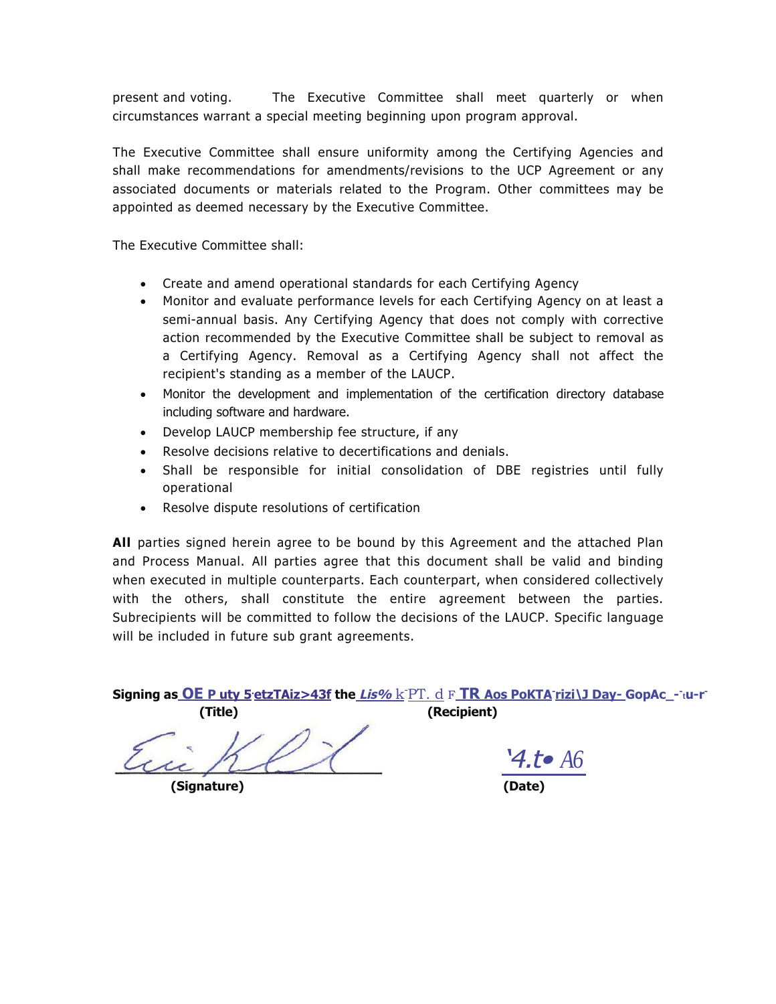present and voting. The Executive Committee shall meet quarterly or when circumstances warrant a special meeting beginning upon program approval.

The Executive Committee shall ensure uniformity among the Certifying Agencies and shall make recommendations for amendments/revisions to the UCP Agreement or any associated documents or materials related to the Program. Other committees may be appointed as deemed necessary by the Executive Committee.

The Executive Committee shall:

- Create and amend operational standards for each Certifying Agency
- Monitor and evaluate performance levels for each Certifying Agency on at least a semi-annual basis. Any Certifying Agency that does not comply with corrective action recommended by the Executive Committee shall be subject to removal as a Certifying Agency. Removal as a Certifying Agency shall not affect the recipient's standing as a member of the LAUCP.
- Monitor the development and implementation of the certification directory database including software and hardware.
- Develop LAUCP membership fee structure, if any
- Resolve decisions relative to decertifications and denials.
- Shall be responsible for initial consolidation of DBE registries until fully operational
- Resolve dispute resolutions of certification

**All** parties signed herein agree to be bound by this Agreement and the attached Plan and Process Manual. All parties agree that this document shall be valid and binding when executed in multiple counterparts. Each counterpart, when considered collectively with the others, shall constitute the entire agreement between the parties. Subrecipients will be committed to follow the decisions of the LAUCP. Specific language will be included in future sub grant agreements.

**Signing as OE P uty 5.etzTAiz>43f the Lis%** k -PT. d F **TR Aos PoKTA-rizi\J Day- GopAc\_-- <sup>t</sup>u-r- (Title) (Recipient)** 

**(Signature)** 

'4.t• *A6*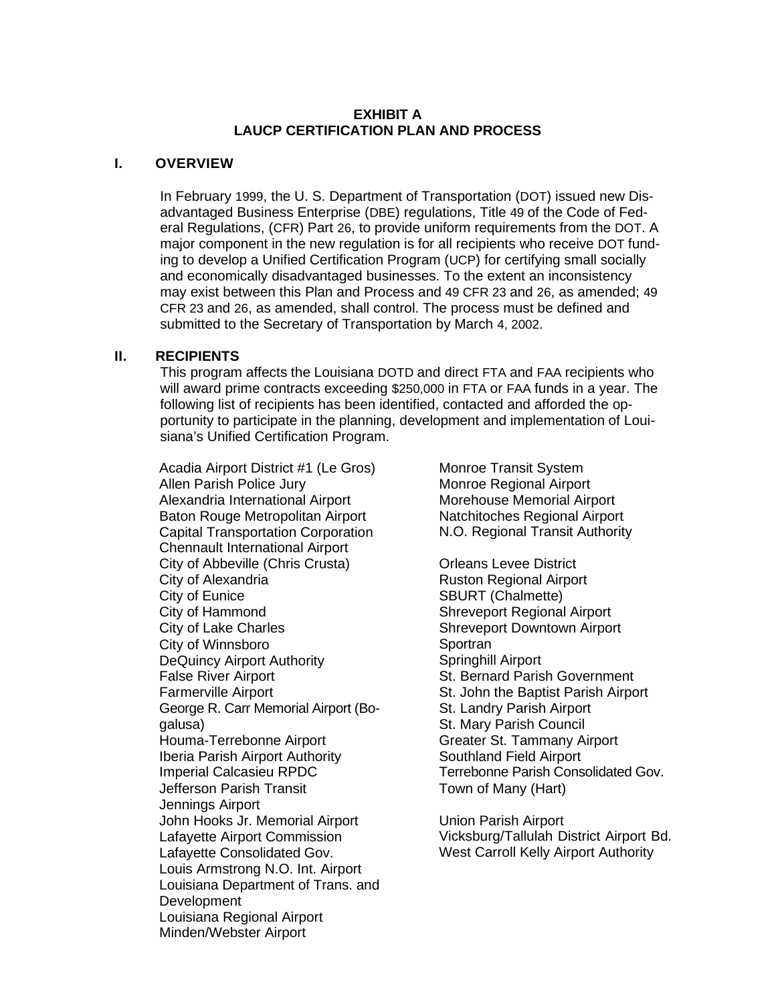## **EXHIBIT A LAUCP CERTIFICATION PLAN AND PROCESS**

## **I. OVERVIEW**

In February 1999, the U. S. Department of Transportation (DOT) issued new Disadvantaged Business Enterprise (DBE) regulations, Title 49 of the Code of Federal Regulations, (CFR) Part 26, to provide uniform requirements from the DOT. A major component in the new regulation is for all recipients who receive DOT funding to develop a Unified Certification Program (UCP) for certifying small socially and economically disadvantaged businesses. To the extent an inconsistency may exist between this Plan and Process and 49 CFR 23 and 26, as amended; 49 CFR 23 and 26, as amended, shall control. The process must be defined and submitted to the Secretary of Transportation by March 4, 2002.

## **II. RECIPIENTS**

This program affects the Louisiana DOTD and direct FTA and FAA recipients who will award prime contracts exceeding \$250,000 in FTA or FAA funds in a year. The following list of recipients has been identified, contacted and afforded the opportunity to participate in the planning, development and implementation of Louisiana's Unified Certification Program.

Acadia Airport District #1 (Le Gros) Allen Parish Police Jury Alexandria International Airport Baton Rouge Metropolitan Airport Capital Transportation Corporation Chennault International Airport City of Abbeville (Chris Crusta) City of Alexandria City of Eunice City of Hammond City of Lake Charles City of Winnsboro DeQuincy Airport Authority False River Airport Farmerville Airport George R. Carr Memorial Airport (Bogalusa) Houma-Terrebonne Airport Iberia Parish Airport Authority Imperial Calcasieu RPDC Jefferson Parish Transit Jennings Airport John Hooks Jr. Memorial Airport Lafayette Airport Commission Lafayette Consolidated Gov. Louis Armstrong N.O. Int. Airport Louisiana Department of Trans. and **Development** Louisiana Regional Airport Minden/Webster Airport

Monroe Transit System Monroe Regional Airport Morehouse Memorial Airport Natchitoches Regional Airport N.O. Regional Transit Authority

Orleans Levee District Ruston Regional Airport SBURT (Chalmette) Shreveport Regional Airport Shreveport Downtown Airport **Sportran** Springhill Airport St. Bernard Parish Government St. John the Baptist Parish Airport St. Landry Parish Airport St. Mary Parish Council Greater St. Tammany Airport Southland Field Airport Terrebonne Parish Consolidated Gov. Town of Many (Hart)

Union Parish Airport Vicksburg/Tallulah District Airport Bd. West Carroll Kelly Airport Authority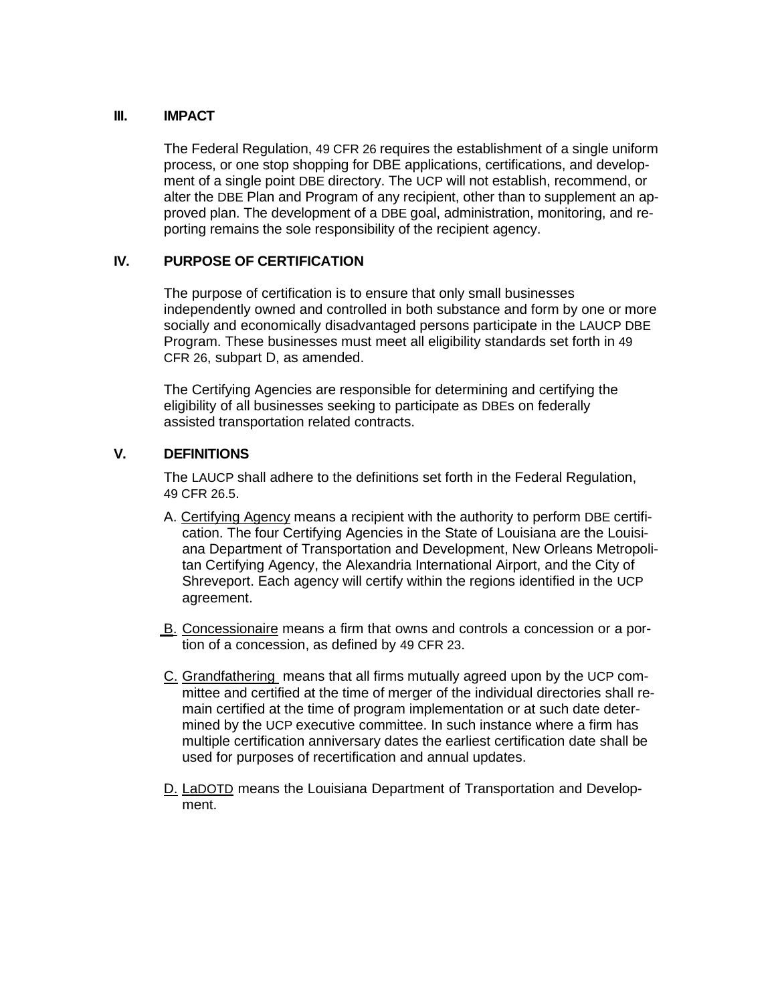## **III. IMPACT**

The Federal Regulation, 49 CFR 26 requires the establishment of a single uniform process, or one stop shopping for DBE applications, certifications, and development of a single point DBE directory. The UCP will not establish, recommend, or alter the DBE Plan and Program of any recipient, other than to supplement an approved plan. The development of a DBE goal, administration, monitoring, and reporting remains the sole responsibility of the recipient agency.

# **IV. PURPOSE OF CERTIFICATION**

The purpose of certification is to ensure that only small businesses independently owned and controlled in both substance and form by one or more socially and economically disadvantaged persons participate in the LAUCP DBE Program. These businesses must meet all eligibility standards set forth in 49 CFR 26, subpart D, as amended.

The Certifying Agencies are responsible for determining and certifying the eligibility of all businesses seeking to participate as DBEs on federally assisted transportation related contracts.

# **V. DEFINITIONS**

The LAUCP shall adhere to the definitions set forth in the Federal Regulation, 49 CFR 26.5.

- A. Certifying Agency means a recipient with the authority to perform DBE certification. The four Certifying Agencies in the State of Louisiana are the Louisiana Department of Transportation and Development, New Orleans Metropolitan Certifying Agency, the Alexandria International Airport, and the City of Shreveport. Each agency will certify within the regions identified in the UCP agreement.
- B. Concessionaire means a firm that owns and controls a concession or a portion of a concession, as defined by 49 CFR 23.
- C. Grandfathering means that all firms mutually agreed upon by the UCP committee and certified at the time of merger of the individual directories shall remain certified at the time of program implementation or at such date determined by the UCP executive committee. In such instance where a firm has multiple certification anniversary dates the earliest certification date shall be used for purposes of recertification and annual updates.
- D. LaDOTD means the Louisiana Department of Transportation and Development.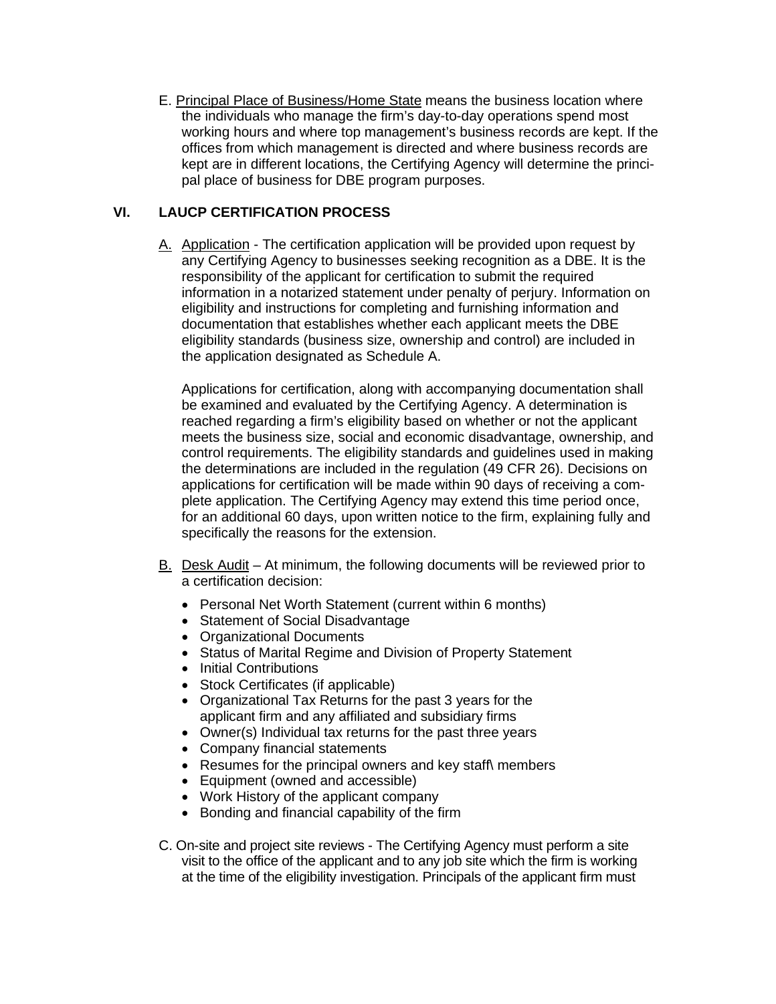E. Principal Place of Business/Home State means the business location where the individuals who manage the firm's day-to-day operations spend most working hours and where top management's business records are kept. If the offices from which management is directed and where business records are kept are in different locations, the Certifying Agency will determine the principal place of business for DBE program purposes.

# **VI. LAUCP CERTIFICATION PROCESS**

A. Application - The certification application will be provided upon request by any Certifying Agency to businesses seeking recognition as a DBE. It is the responsibility of the applicant for certification to submit the required information in a notarized statement under penalty of perjury. Information on eligibility and instructions for completing and furnishing information and documentation that establishes whether each applicant meets the DBE eligibility standards (business size, ownership and control) are included in the application designated as Schedule A.

Applications for certification, along with accompanying documentation shall be examined and evaluated by the Certifying Agency. A determination is reached regarding a firm's eligibility based on whether or not the applicant meets the business size, social and economic disadvantage, ownership, and control requirements. The eligibility standards and guidelines used in making the determinations are included in the regulation (49 CFR 26). Decisions on applications for certification will be made within 90 days of receiving a complete application. The Certifying Agency may extend this time period once, for an additional 60 days, upon written notice to the firm, explaining fully and specifically the reasons for the extension.

- B. Desk Audit At minimum, the following documents will be reviewed prior to a certification decision:
	- Personal Net Worth Statement (current within 6 months)
	- Statement of Social Disadvantage
	- Organizational Documents
	- Status of Marital Regime and Division of Property Statement
	- Initial Contributions
	- Stock Certificates (if applicable)
	- Organizational Tax Returns for the past 3 years for the applicant firm and any affiliated and subsidiary firms
	- Owner(s) Individual tax returns for the past three years
	- Company financial statements
	- Resumes for the principal owners and key staff\ members
	- Equipment (owned and accessible)
	- Work History of the applicant company
	- Bonding and financial capability of the firm
- C. On-site and project site reviews The Certifying Agency must perform a site visit to the office of the applicant and to any job site which the firm is working at the time of the eligibility investigation. Principals of the applicant firm must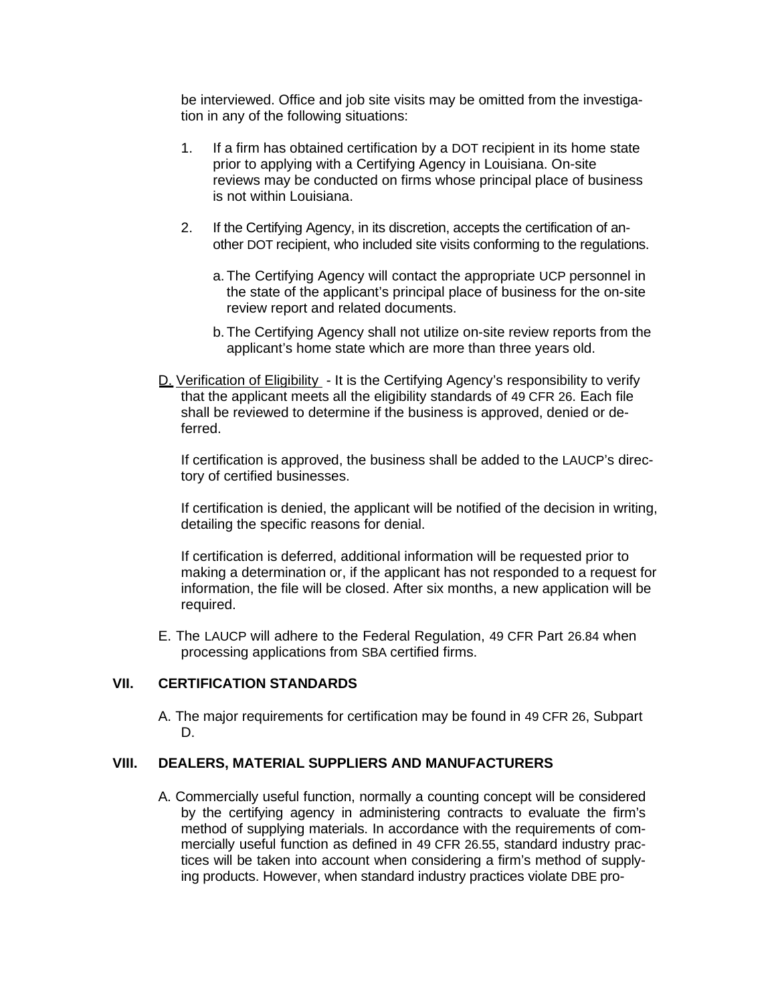be interviewed. Office and job site visits may be omitted from the investigation in any of the following situations:

- 1. If a firm has obtained certification by a DOT recipient in its home state prior to applying with a Certifying Agency in Louisiana. On-site reviews may be conducted on firms whose principal place of business is not within Louisiana.
- 2. If the Certifying Agency, in its discretion, accepts the certification of another DOT recipient, who included site visits conforming to the regulations.
	- a. The Certifying Agency will contact the appropriate UCP personnel in the state of the applicant's principal place of business for the on-site review report and related documents.
	- b. The Certifying Agency shall not utilize on-site review reports from the applicant's home state which are more than three years old.
- D. Verification of Eligibility It is the Certifying Agency's responsibility to verify that the applicant meets all the eligibility standards of 49 CFR 26. Each file shall be reviewed to determine if the business is approved, denied or deferred.

If certification is approved, the business shall be added to the LAUCP's directory of certified businesses.

If certification is denied, the applicant will be notified of the decision in writing, detailing the specific reasons for denial.

If certification is deferred, additional information will be requested prior to making a determination or, if the applicant has not responded to a request for information, the file will be closed. After six months, a new application will be required.

E. The LAUCP will adhere to the Federal Regulation, 49 CFR Part 26.84 when processing applications from SBA certified firms.

# **VII. CERTIFICATION STANDARDS**

A. The major requirements for certification may be found in 49 CFR 26, Subpart D.

## **VIII. DEALERS, MATERIAL SUPPLIERS AND MANUFACTURERS**

A. Commercially useful function, normally a counting concept will be considered by the certifying agency in administering contracts to evaluate the firm's method of supplying materials. In accordance with the requirements of commercially useful function as defined in 49 CFR 26.55, standard industry practices will be taken into account when considering a firm's method of supplying products. However, when standard industry practices violate DBE pro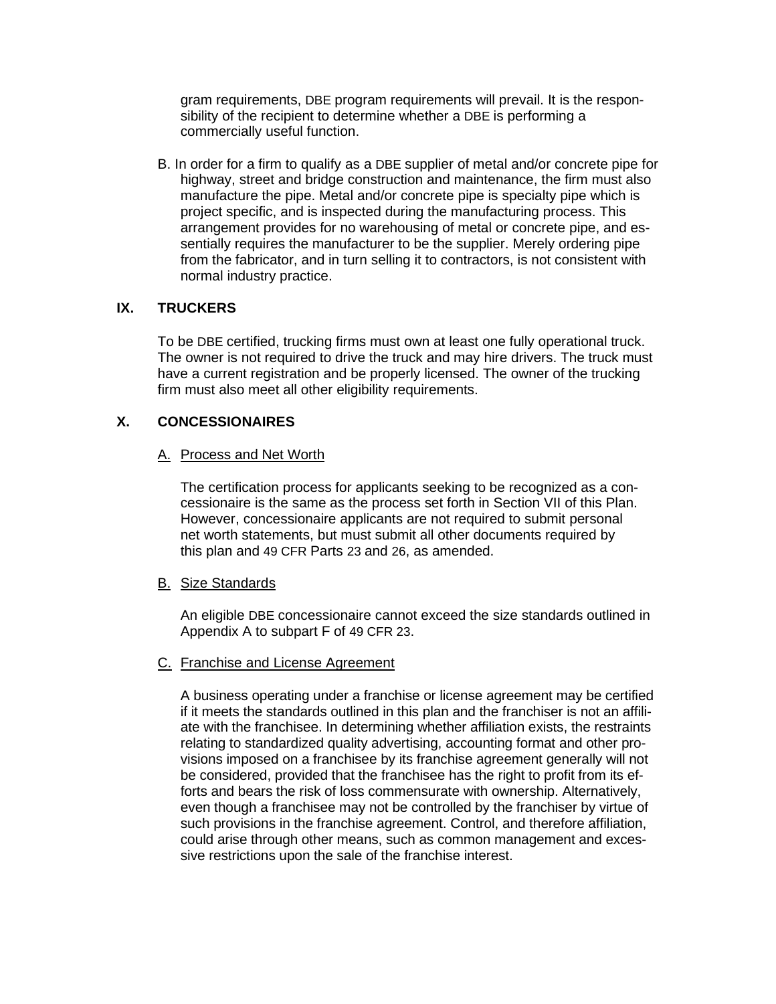gram requirements, DBE program requirements will prevail. It is the responsibility of the recipient to determine whether a DBE is performing a commercially useful function.

B. In order for a firm to qualify as a DBE supplier of metal and/or concrete pipe for highway, street and bridge construction and maintenance, the firm must also manufacture the pipe. Metal and/or concrete pipe is specialty pipe which is project specific, and is inspected during the manufacturing process. This arrangement provides for no warehousing of metal or concrete pipe, and essentially requires the manufacturer to be the supplier. Merely ordering pipe from the fabricator, and in turn selling it to contractors, is not consistent with normal industry practice.

# **IX. TRUCKERS**

To be DBE certified, trucking firms must own at least one fully operational truck. The owner is not required to drive the truck and may hire drivers. The truck must have a current registration and be properly licensed. The owner of the trucking firm must also meet all other eligibility requirements.

# **X. CONCESSIONAIRES**

# A. Process and Net Worth

The certification process for applicants seeking to be recognized as a concessionaire is the same as the process set forth in Section VII of this Plan. However, concessionaire applicants are not required to submit personal net worth statements, but must submit all other documents required by this plan and 49 CFR Parts 23 and 26, as amended.

# **B.** Size Standards

An eligible DBE concessionaire cannot exceed the size standards outlined in Appendix A to subpart F of 49 CFR 23.

# C. Franchise and License Agreement

A business operating under a franchise or license agreement may be certified if it meets the standards outlined in this plan and the franchiser is not an affiliate with the franchisee. In determining whether affiliation exists, the restraints relating to standardized quality advertising, accounting format and other provisions imposed on a franchisee by its franchise agreement generally will not be considered, provided that the franchisee has the right to profit from its efforts and bears the risk of loss commensurate with ownership. Alternatively, even though a franchisee may not be controlled by the franchiser by virtue of such provisions in the franchise agreement. Control, and therefore affiliation, could arise through other means, such as common management and excessive restrictions upon the sale of the franchise interest.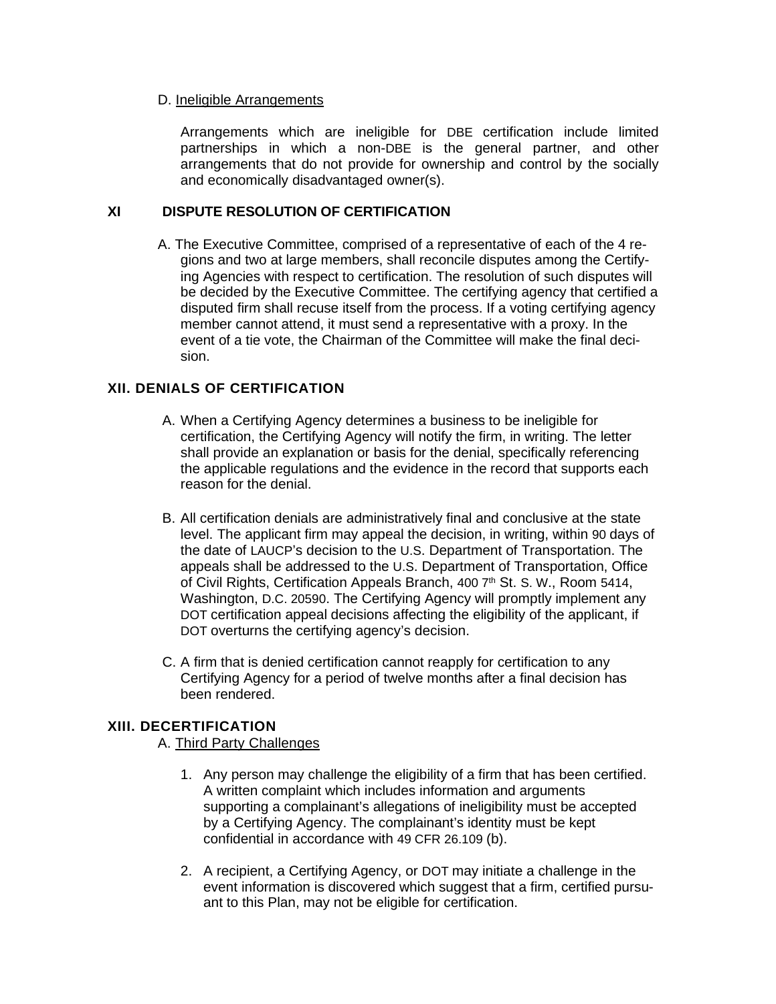## D. Ineligible Arrangements

Arrangements which are ineligible for DBE certification include limited partnerships in which a non-DBE is the general partner, and other arrangements that do not provide for ownership and control by the socially and economically disadvantaged owner(s).

# **XI DISPUTE RESOLUTION OF CERTIFICATION**

A. The Executive Committee, comprised of a representative of each of the 4 regions and two at large members, shall reconcile disputes among the Certifying Agencies with respect to certification. The resolution of such disputes will be decided by the Executive Committee. The certifying agency that certified a disputed firm shall recuse itself from the process. If a voting certifying agency member cannot attend, it must send a representative with a proxy. In the event of a tie vote, the Chairman of the Committee will make the final decision.

# **XII. DENIALS OF CERTIFICATION**

- A. When a Certifying Agency determines a business to be ineligible for certification, the Certifying Agency will notify the firm, in writing. The letter shall provide an explanation or basis for the denial, specifically referencing the applicable regulations and the evidence in the record that supports each reason for the denial.
- B. All certification denials are administratively final and conclusive at the state level. The applicant firm may appeal the decision, in writing, within 90 days of the date of LAUCP's decision to the U.S. Department of Transportation. The appeals shall be addressed to the U.S. Department of Transportation, Office of Civil Rights, Certification Appeals Branch, 400 7<sup>th</sup> St. S. W., Room 5414, Washington, D.C. 20590. The Certifying Agency will promptly implement any DOT certification appeal decisions affecting the eligibility of the applicant, if DOT overturns the certifying agency's decision.
- C. A firm that is denied certification cannot reapply for certification to any Certifying Agency for a period of twelve months after a final decision has been rendered.

# **XIII. DECERTIFICATION**

# A. Third Party Challenges

- 1. Any person may challenge the eligibility of a firm that has been certified. A written complaint which includes information and arguments supporting a complainant's allegations of ineligibility must be accepted by a Certifying Agency. The complainant's identity must be kept confidential in accordance with 49 CFR 26.109 (b).
- 2. A recipient, a Certifying Agency, or DOT may initiate a challenge in the event information is discovered which suggest that a firm, certified pursuant to this Plan, may not be eligible for certification.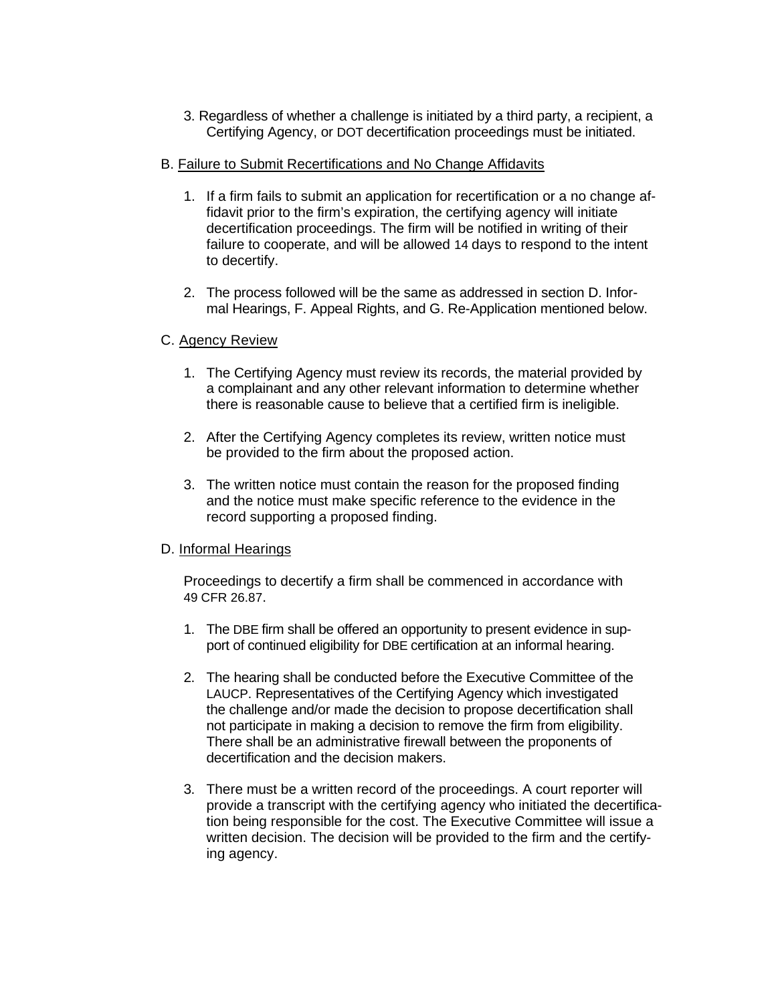3. Regardless of whether a challenge is initiated by a third party, a recipient, a Certifying Agency, or DOT decertification proceedings must be initiated.

## B. Failure to Submit Recertifications and No Change Affidavits

- 1. If a firm fails to submit an application for recertification or a no change affidavit prior to the firm's expiration, the certifying agency will initiate decertification proceedings. The firm will be notified in writing of their failure to cooperate, and will be allowed 14 days to respond to the intent to decertify.
- 2. The process followed will be the same as addressed in section D. Informal Hearings, F. Appeal Rights, and G. Re-Application mentioned below.

## C. Agency Review

- 1. The Certifying Agency must review its records, the material provided by a complainant and any other relevant information to determine whether there is reasonable cause to believe that a certified firm is ineligible.
- 2. After the Certifying Agency completes its review, written notice must be provided to the firm about the proposed action.
- 3. The written notice must contain the reason for the proposed finding and the notice must make specific reference to the evidence in the record supporting a proposed finding.

## D. Informal Hearings

Proceedings to decertify a firm shall be commenced in accordance with 49 CFR 26.87.

- 1. The DBE firm shall be offered an opportunity to present evidence in support of continued eligibility for DBE certification at an informal hearing.
- 2. The hearing shall be conducted before the Executive Committee of the LAUCP. Representatives of the Certifying Agency which investigated the challenge and/or made the decision to propose decertification shall not participate in making a decision to remove the firm from eligibility. There shall be an administrative firewall between the proponents of decertification and the decision makers.
- 3. There must be a written record of the proceedings. A court reporter will provide a transcript with the certifying agency who initiated the decertification being responsible for the cost. The Executive Committee will issue a written decision. The decision will be provided to the firm and the certifying agency.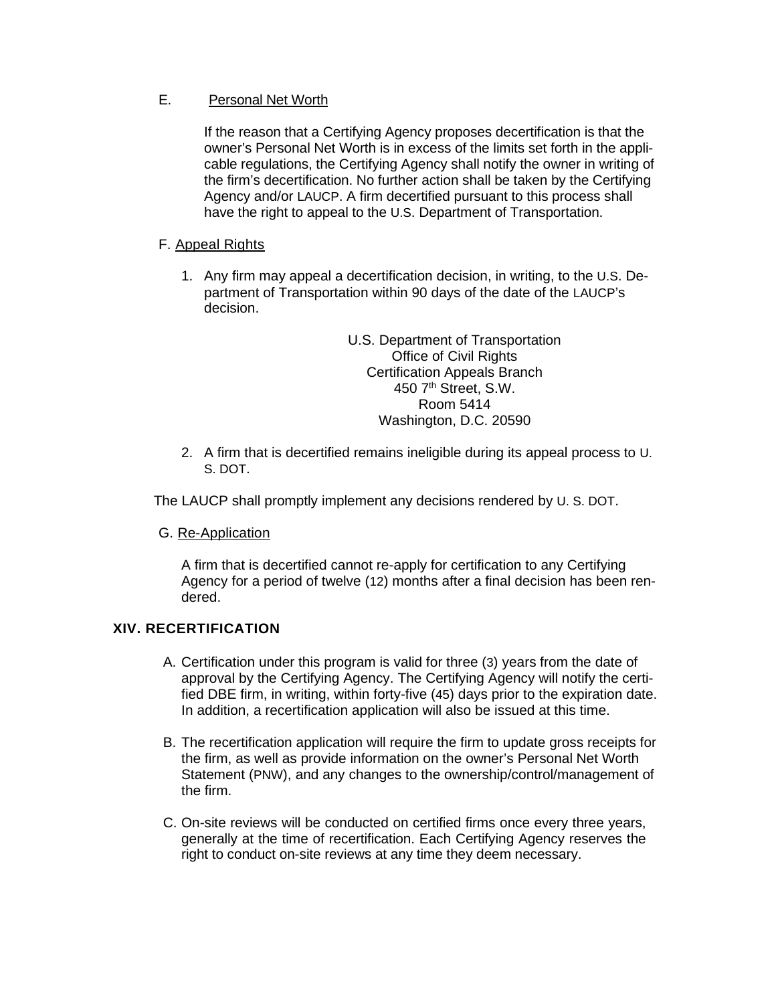# E. Personal Net Worth

If the reason that a Certifying Agency proposes decertification is that the owner's Personal Net Worth is in excess of the limits set forth in the applicable regulations, the Certifying Agency shall notify the owner in writing of the firm's decertification. No further action shall be taken by the Certifying Agency and/or LAUCP. A firm decertified pursuant to this process shall have the right to appeal to the U.S. Department of Transportation.

# F. Appeal Rights

1. Any firm may appeal a decertification decision, in writing, to the U.S. Department of Transportation within 90 days of the date of the LAUCP's decision.

> U.S. Department of Transportation Office of Civil Rights Certification Appeals Branch 450 7<sup>th</sup> Street, S.W. Room 5414 Washington, D.C. 20590

2. A firm that is decertified remains ineligible during its appeal process to U. S. DOT.

The LAUCP shall promptly implement any decisions rendered by U. S. DOT.

G. Re-Application

A firm that is decertified cannot re-apply for certification to any Certifying Agency for a period of twelve (12) months after a final decision has been rendered.

# **XIV. RECERTIFICATION**

- A. Certification under this program is valid for three (3) years from the date of approval by the Certifying Agency. The Certifying Agency will notify the certified DBE firm, in writing, within forty-five (45) days prior to the expiration date. In addition, a recertification application will also be issued at this time.
- B. The recertification application will require the firm to update gross receipts for the firm, as well as provide information on the owner's Personal Net Worth Statement (PNW), and any changes to the ownership/control/management of the firm.
- C. On-site reviews will be conducted on certified firms once every three years, generally at the time of recertification. Each Certifying Agency reserves the right to conduct on-site reviews at any time they deem necessary.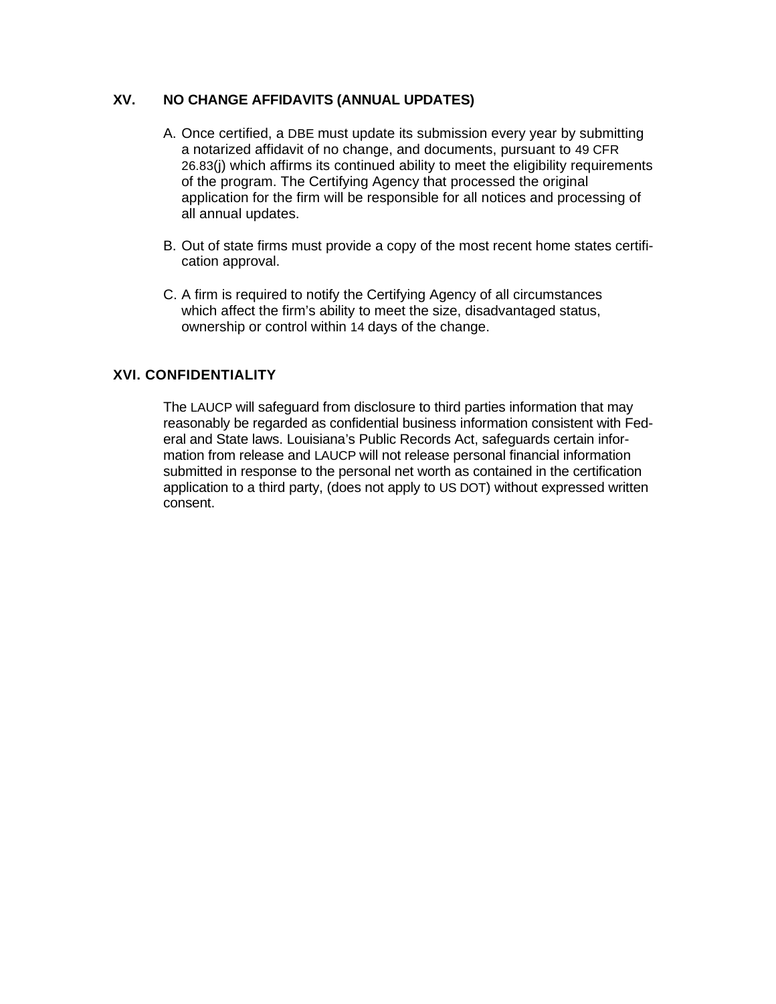# **XV. NO CHANGE AFFIDAVITS (ANNUAL UPDATES)**

- A. Once certified, a DBE must update its submission every year by submitting a notarized affidavit of no change, and documents, pursuant to 49 CFR 26.83(j) which affirms its continued ability to meet the eligibility requirements of the program. The Certifying Agency that processed the original application for the firm will be responsible for all notices and processing of all annual updates.
- B. Out of state firms must provide a copy of the most recent home states certification approval.
- C. A firm is required to notify the Certifying Agency of all circumstances which affect the firm's ability to meet the size, disadvantaged status, ownership or control within 14 days of the change.

# **XVI. CONFIDENTIALITY**

The LAUCP will safeguard from disclosure to third parties information that may reasonably be regarded as confidential business information consistent with Federal and State laws. Louisiana's Public Records Act, safeguards certain information from release and LAUCP will not release personal financial information submitted in response to the personal net worth as contained in the certification application to a third party, (does not apply to US DOT) without expressed written consent.